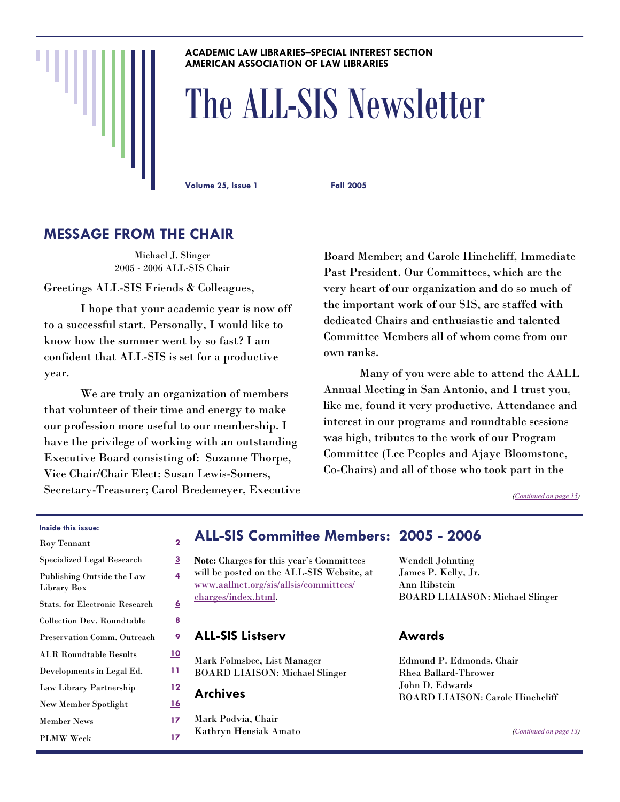#### **ACADEMIC LAW LIBRARIES–SPECIAL INTEREST SECTION AMERICAN ASSOCIATION OF LAW LIBRARIES**

# The ALL-SIS Newsletter

**Volume 25, Issue 1 Fall 2005** 

# **MESSAGE FROM THE CHAIR**

Michael J. Slinger 2005 - 2006 ALL-SIS Chair

Greetings ALL-SIS Friends & Colleagues,

 I hope that your academic year is now off to a successful start. Personally, I would like to know how the summer went by so fast? I am confident that ALL-SIS is set for a productive year.

 We are truly an organization of members that volunteer of their time and energy to make our profession more useful to our membership. I have the privilege of working with an outstanding Executive Board consisting of: Suzanne Thorpe, Vice Chair/Chair Elect; Susan Lewis-Somers, Secretary-Treasurer; Carol Bredemeyer, Executive Board Member; and Carole Hinchcliff, Immediate Past President. Our Committees, which are the very heart of our organization and do so much of the important work of our SIS, are staffed with dedicated Chairs and enthusiastic and talented Committee Members all of whom come from our own ranks.

 Many of you were able to attend the AALL Annual Meeting in San Antonio, and I trust you, like me, found it very productive. Attendance and interest in our programs and roundtable sessions was high, tributes to the work of our Program Committee (Lee Peoples and Ajaye Bloomstone, Co-Chairs) and all of those who took part in the

*([Continued on page 15\)](#page-14-0)* 

#### **Inside this issue:**

| Roy Tennant                               | $\overline{\mathbf{2}}$ |
|-------------------------------------------|-------------------------|
| <b>Specialized Legal Research</b>         | 3                       |
| Publishing Outside the Law<br>Library Box | 4                       |
| <b>Stats. for Electronic Research</b>     | <u>6</u>                |
| Collection Dev. Roundtable                | <u>8</u>                |
| Preservation Comm. Outreach               | <u>9</u>                |
| <b>ALR Roundtable Results</b>             | <u> 10</u>              |
| Developments in Legal Ed.                 | <u>11</u>               |
| Law Library Partnership                   | <u> 12</u>              |
| <b>New Member Spotlight</b>               | <u>16</u>               |
| <b>Member News</b>                        | 17                      |
| <b>PLMW</b> Week                          | <u>17</u>               |

# **ALL-SIS Committee Members: 2005 - 2006**

**Note:** Charges for this year's Committees will be posted on the ALL-SIS Website, at [www.aallnet.org/sis/allsis/committees/](http://www.aallnet.org/sis/allsis/committees/charges/index.html) [charges/index.html](http://www.aallnet.org/sis/allsis/committees/charges/index.html).

#### **ALL-SIS Listserv**

Mark Folmsbee, List Manager BOARD LIAISON: Michael Slinger

**Archives** 

Mark Podvia, Chair Kathryn Hensiak Amato Wendell Johnting James P. Kelly, Jr. Ann Ribstein BOARD LIAIASON: Michael Slinger

## **Awards**

Edmund P. Edmonds, Chair Rhea Ballard-Thrower John D. Edwards BOARD LIAISON: Carole Hinchcliff

*([Continued on page 13\)](#page-12-0)*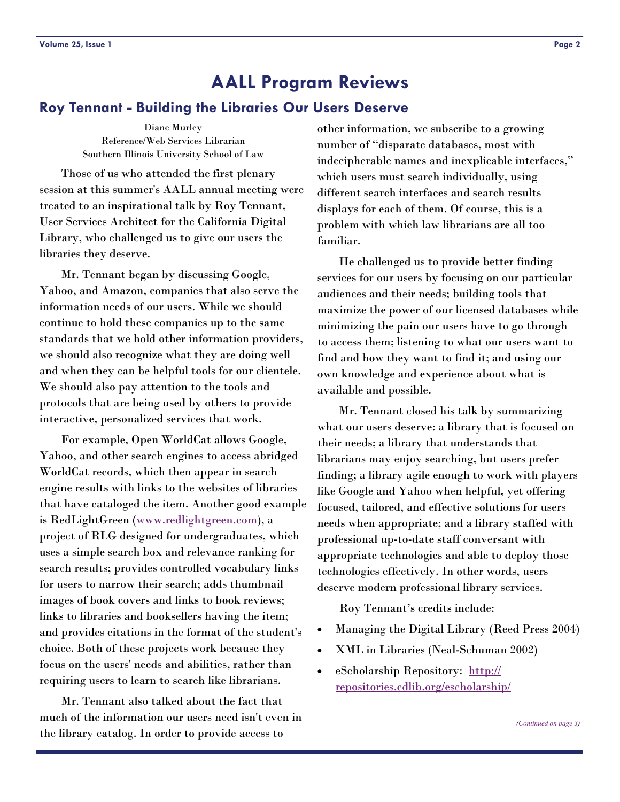#### <span id="page-1-0"></span>**Roy Tennant - Building the Libraries Our Users Deserve**

Diane Murley Reference/Web Services Librarian Southern Illinois University School of Law

 Those of us who attended the first plenary session at this summer's AALL annual meeting were treated to an inspirational talk by Roy Tennant, User Services Architect for the California Digital Library, who challenged us to give our users the libraries they deserve.

 Mr. Tennant began by discussing Google, Yahoo, and Amazon, companies that also serve the information needs of our users. While we should continue to hold these companies up to the same standards that we hold other information providers, we should also recognize what they are doing well and when they can be helpful tools for our clientele. We should also pay attention to the tools and protocols that are being used by others to provide interactive, personalized services that work.

 For example, Open WorldCat allows Google, Yahoo, and other search engines to access abridged WorldCat records, which then appear in search engine results with links to the websites of libraries that have cataloged the item. Another good example is RedLightGreen ([www.redlightgreen.com](http://www.redlightgreen.com)), a project of RLG designed for undergraduates, which uses a simple search box and relevance ranking for search results; provides controlled vocabulary links for users to narrow their search; adds thumbnail images of book covers and links to book reviews; links to libraries and booksellers having the item; and provides citations in the format of the student's choice. Both of these projects work because they focus on the users' needs and abilities, rather than requiring users to learn to search like librarians.

 Mr. Tennant also talked about the fact that much of the information our users need isn't even in the library catalog. In order to provide access to

other information, we subscribe to a growing number of "disparate databases, most with indecipherable names and inexplicable interfaces," which users must search individually, using different search interfaces and search results displays for each of them. Of course, this is a problem with which law librarians are all too familiar.

 He challenged us to provide better finding services for our users by focusing on our particular audiences and their needs; building tools that maximize the power of our licensed databases while minimizing the pain our users have to go through to access them; listening to what our users want to find and how they want to find it; and using our own knowledge and experience about what is available and possible.

 Mr. Tennant closed his talk by summarizing what our users deserve: a library that is focused on their needs; a library that understands that librarians may enjoy searching, but users prefer finding; a library agile enough to work with players like Google and Yahoo when helpful, yet offering focused, tailored, and effective solutions for users needs when appropriate; and a library staffed with professional up-to-date staff conversant with appropriate technologies and able to deploy those technologies effectively. In other words, users deserve modern professional library services.

Roy Tennant's credits include:

- Managing the Digital Library (Reed Press 2004)
- XML in Libraries (Neal-Schuman 2002)
- eScholarship Repository: [http://](http://repositories.cdlib.org/escholarship/) [repositories.cdlib.org/escholarship/](http://repositories.cdlib.org/escholarship/)

*([Continued on page 3\)](#page-2-0)*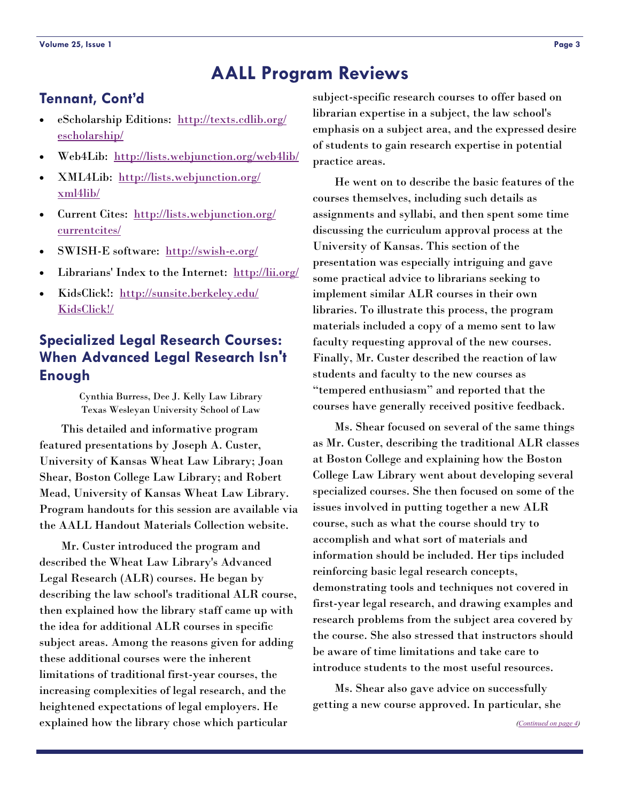# <span id="page-2-0"></span>**Tennant, Cont'd**

- eScholarship Editions: [http://texts.cdlib.org/](http://texts.cdlib.org/escholarship/) [escholarship/](http://texts.cdlib.org/escholarship/)
- Web4Lib: <http://lists.webjunction.org/web4lib/>
- XML4Lib: [http://lists.webjunction.org/](http://lists.webjunction.org/xml4lib/) [xml4lib/](http://lists.webjunction.org/xml4lib/)
- Current Cites: [http://lists.webjunction.org/](http://lists.webjunction.org/currentcites/) [currentcites/](http://lists.webjunction.org/currentcites/)
- SWISH-E software: <http://swish-e.org/>
- Librarians' Index to the Internet: <http://lii.org/>
- KidsClick!: [http://sunsite.berkeley.edu/](http://sunsite.berkeley.edu/KidsClick!/) [KidsClick!/](http://sunsite.berkeley.edu/KidsClick!/)

# **Specialized Legal Research Courses: When Advanced Legal Research Isn't Enough**

Cynthia Burress, Dee J. Kelly Law Library Texas Wesleyan University School of Law

 This detailed and informative program featured presentations by Joseph A. Custer, University of Kansas Wheat Law Library; Joan Shear, Boston College Law Library; and Robert Mead, University of Kansas Wheat Law Library. Program handouts for this session are available via the AALL Handout Materials Collection website.

 Mr. Custer introduced the program and described the Wheat Law Library's Advanced Legal Research (ALR) courses. He began by describing the law school's traditional ALR course, then explained how the library staff came up with the idea for additional ALR courses in specific subject areas. Among the reasons given for adding these additional courses were the inherent limitations of traditional first-year courses, the increasing complexities of legal research, and the heightened expectations of legal employers. He explained how the library chose which particular

subject-specific research courses to offer based on librarian expertise in a subject, the law school's emphasis on a subject area, and the expressed desire of students to gain research expertise in potential practice areas.

 He went on to describe the basic features of the courses themselves, including such details as assignments and syllabi, and then spent some time discussing the curriculum approval process at the University of Kansas. This section of the presentation was especially intriguing and gave some practical advice to librarians seeking to implement similar ALR courses in their own libraries. To illustrate this process, the program materials included a copy of a memo sent to law faculty requesting approval of the new courses. Finally, Mr. Custer described the reaction of law students and faculty to the new courses as "tempered enthusiasm" and reported that the courses have generally received positive feedback.

 Ms. Shear focused on several of the same things as Mr. Custer, describing the traditional ALR classes at Boston College and explaining how the Boston College Law Library went about developing several specialized courses. She then focused on some of the issues involved in putting together a new ALR course, such as what the course should try to accomplish and what sort of materials and information should be included. Her tips included reinforcing basic legal research concepts, demonstrating tools and techniques not covered in first-year legal research, and drawing examples and research problems from the subject area covered by the course. She also stressed that instructors should be aware of time limitations and take care to introduce students to the most useful resources.

 Ms. Shear also gave advice on successfully getting a new course approved. In particular, she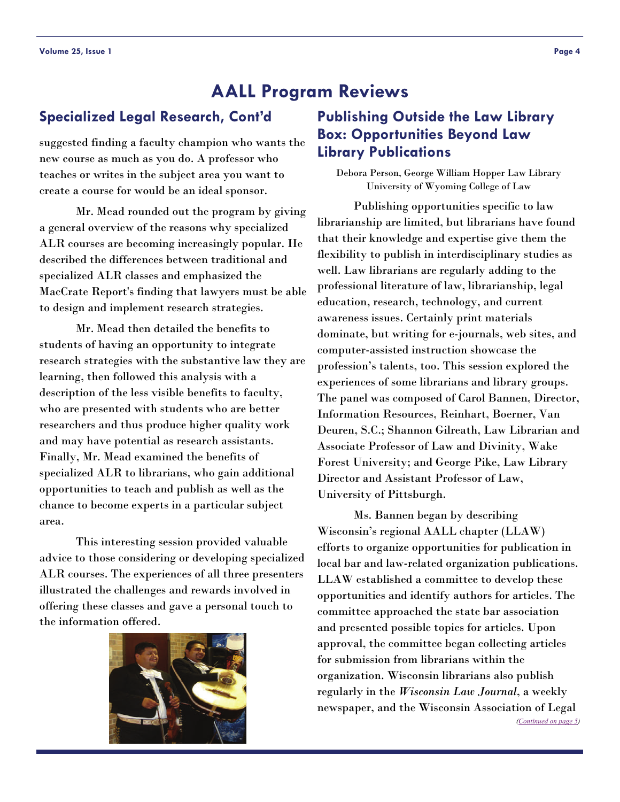suggested finding a faculty champion who wants the new course as much as you do. A professor who teaches or writes in the subject area you want to create a course for would be an ideal sponsor.

 Mr. Mead rounded out the program by giving a general overview of the reasons why specialized ALR courses are becoming increasingly popular. He described the differences between traditional and specialized ALR classes and emphasized the MacCrate Report's finding that lawyers must be able to design and implement research strategies.

 Mr. Mead then detailed the benefits to students of having an opportunity to integrate research strategies with the substantive law they are learning, then followed this analysis with a description of the less visible benefits to faculty, who are presented with students who are better researchers and thus produce higher quality work and may have potential as research assistants. Finally, Mr. Mead examined the benefits of specialized ALR to librarians, who gain additional opportunities to teach and publish as well as the chance to become experts in a particular subject area.

This interesting session provided valuable advice to those considering or developing specialized ALR courses. The experiences of all three presenters illustrated the challenges and rewards involved in offering these classes and gave a personal touch to the information offered.



# <span id="page-3-0"></span>**Specialized Legal Research, Cont'd Publishing Outside the Law Library Box: Opportunities Beyond Law Library Publications**

Debora Person, George William Hopper Law Library University of Wyoming College of Law

 Publishing opportunities specific to law librarianship are limited, but librarians have found that their knowledge and expertise give them the flexibility to publish in interdisciplinary studies as well. Law librarians are regularly adding to the professional literature of law, librarianship, legal education, research, technology, and current awareness issues. Certainly print materials dominate, but writing for e-journals, web sites, and computer-assisted instruction showcase the profession's talents, too. This session explored the experiences of some librarians and library groups. The panel was composed of Carol Bannen, Director, Information Resources, Reinhart, Boerner, Van Deuren, S.C.; Shannon Gilreath, Law Librarian and Associate Professor of Law and Divinity, Wake Forest University; and George Pike, Law Library Director and Assistant Professor of Law, University of Pittsburgh.

 Ms. Bannen began by describing Wisconsin's regional AALL chapter (LLAW) efforts to organize opportunities for publication in local bar and law-related organization publications. LLAW established a committee to develop these opportunities and identify authors for articles. The committee approached the state bar association and presented possible topics for articles. Upon approval, the committee began collecting articles for submission from librarians within the organization. Wisconsin librarians also publish regularly in the *Wisconsin Law Journal*, a weekly newspaper, and the Wisconsin Association of Legal *([Continued on page 5\)](#page-4-0)*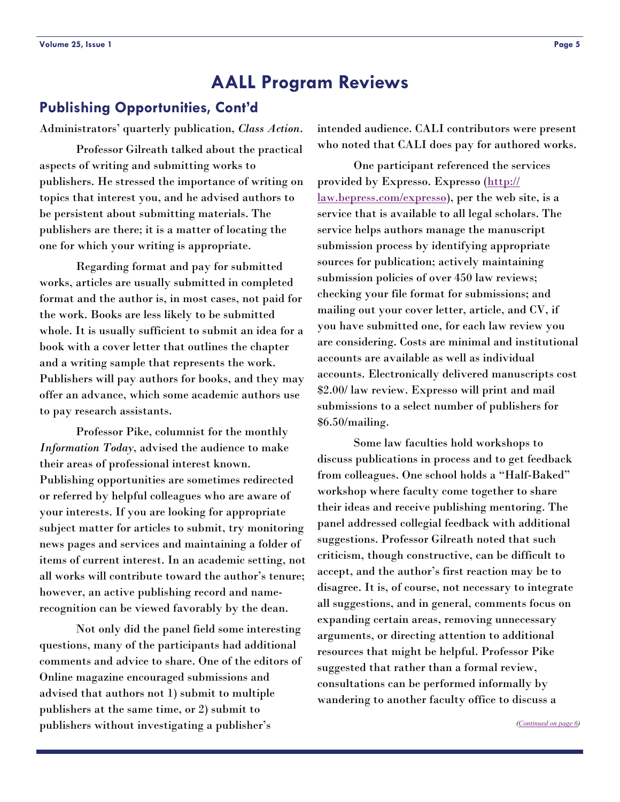# <span id="page-4-0"></span>**Publishing Opportunities, Cont'd**

Administrators' quarterly publication, *Class Action*.

 Professor Gilreath talked about the practical aspects of writing and submitting works to publishers. He stressed the importance of writing on topics that interest you, and he advised authors to be persistent about submitting materials. The publishers are there; it is a matter of locating the one for which your writing is appropriate.

 Regarding format and pay for submitted works, articles are usually submitted in completed format and the author is, in most cases, not paid for the work. Books are less likely to be submitted whole. It is usually sufficient to submit an idea for a book with a cover letter that outlines the chapter and a writing sample that represents the work. Publishers will pay authors for books, and they may offer an advance, which some academic authors use to pay research assistants.

 Professor Pike, columnist for the monthly *Information Today*, advised the audience to make their areas of professional interest known. Publishing opportunities are sometimes redirected or referred by helpful colleagues who are aware of your interests. If you are looking for appropriate subject matter for articles to submit, try monitoring news pages and services and maintaining a folder of items of current interest. In an academic setting, not all works will contribute toward the author's tenure; however, an active publishing record and namerecognition can be viewed favorably by the dean.

 Not only did the panel field some interesting questions, many of the participants had additional comments and advice to share. One of the editors of Online magazine encouraged submissions and advised that authors not 1) submit to multiple publishers at the same time, or 2) submit to publishers without investigating a publisher's

intended audience. CALI contributors were present who noted that CALI does pay for authored works.

 One participant referenced the services provided by Expresso. Expresso ([http://](http://law.bepress.com/expresso) [law.bepress.com/expresso](http://law.bepress.com/expresso)), per the web site, is a service that is available to all legal scholars. The service helps authors manage the manuscript submission process by identifying appropriate sources for publication; actively maintaining submission policies of over 450 law reviews; checking your file format for submissions; and mailing out your cover letter, article, and CV, if you have submitted one, for each law review you are considering. Costs are minimal and institutional accounts are available as well as individual accounts. Electronically delivered manuscripts cost \$2.00/ law review. Expresso will print and mail submissions to a select number of publishers for \$6.50/mailing.

 Some law faculties hold workshops to discuss publications in process and to get feedback from colleagues. One school holds a "Half-Baked" workshop where faculty come together to share their ideas and receive publishing mentoring. The panel addressed collegial feedback with additional suggestions. Professor Gilreath noted that such criticism, though constructive, can be difficult to accept, and the author's first reaction may be to disagree. It is, of course, not necessary to integrate all suggestions, and in general, comments focus on expanding certain areas, removing unnecessary arguments, or directing attention to additional resources that might be helpful. Professor Pike suggested that rather than a formal review, consultations can be performed informally by wandering to another faculty office to discuss a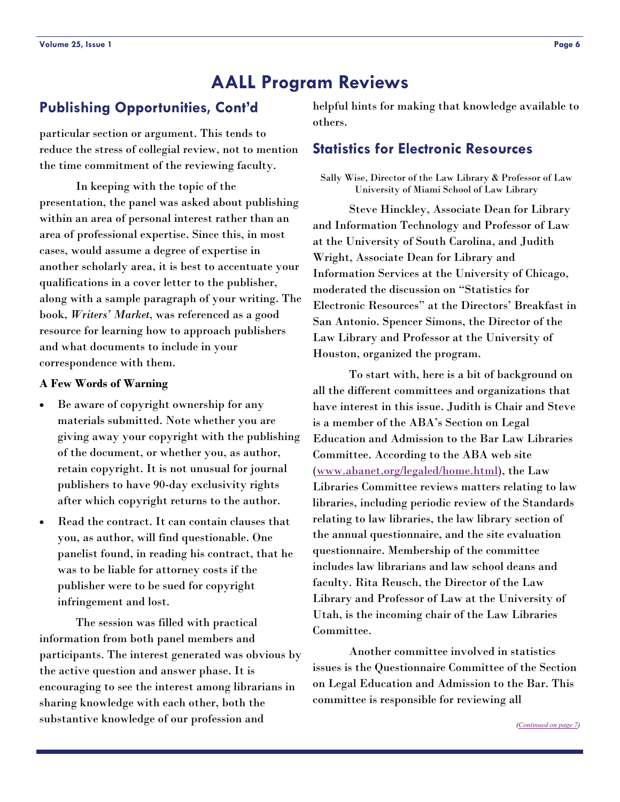# <span id="page-5-0"></span>**Publishing Opportunities, Cont'd**

particular section or argument. This tends to reduce the stress of collegial review, not to mention the time commitment of the reviewing faculty.

 In keeping with the topic of the presentation, the panel was asked about publishing within an area of personal interest rather than an area of professional expertise. Since this, in most cases, would assume a degree of expertise in another scholarly area, it is best to accentuate your qualifications in a cover letter to the publisher, along with a sample paragraph of your writing. The book, *Writers' Market*, was referenced as a good resource for learning how to approach publishers and what documents to include in your correspondence with them.

#### **A Few Words of Warning**

- Be aware of copyright ownership for any materials submitted. Note whether you are giving away your copyright with the publishing of the document, or whether you, as author, retain copyright. It is not unusual for journal publishers to have 90-day exclusivity rights after which copyright returns to the author.
- Read the contract. It can contain clauses that you, as author, will find questionable. One panelist found, in reading his contract, that he was to be liable for attorney costs if the publisher were to be sued for copyright infringement and lost.

 The session was filled with practical information from both panel members and participants. The interest generated was obvious by the active question and answer phase. It is encouraging to see the interest among librarians in sharing knowledge with each other, both the substantive knowledge of our profession and

helpful hints for making that knowledge available to others.

## **Statistics for Electronic Resources**

Sally Wise, Director of the Law Library & Professor of Law University of Miami School of Law Library

 Steve Hinckley, Associate Dean for Library and Information Technology and Professor of Law at the University of South Carolina, and Judith Wright, Associate Dean for Library and Information Services at the University of Chicago, moderated the discussion on "Statistics for Electronic Resources" at the Directors' Breakfast in San Antonio. Spencer Simons, the Director of the Law Library and Professor at the University of Houston, organized the program.

 To start with, here is a bit of background on all the different committees and organizations that have interest in this issue. Judith is Chair and Steve is a member of the ABA's Section on Legal Education and Admission to the Bar Law Libraries Committee. According to the ABA web site ([www.abanet.org/legaled/home.html](http://www.abanet.org/legaled/home.html)), the Law Libraries Committee reviews matters relating to law libraries, including periodic review of the Standards relating to law libraries, the law library section of the annual questionnaire, and the site evaluation questionnaire. Membership of the committee includes law librarians and law school deans and faculty. Rita Reusch, the Director of the Law Library and Professor of Law at the University of Utah, is the incoming chair of the Law Libraries Committee.

 Another committee involved in statistics issues is the Questionnaire Committee of the Section on Legal Education and Admission to the Bar. This committee is responsible for reviewing all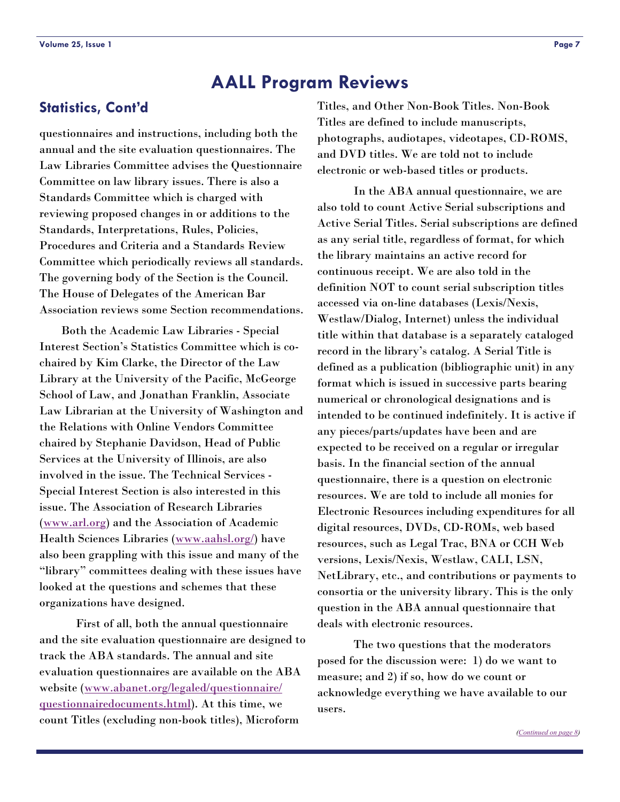# <span id="page-6-0"></span>**Statistics, Cont'd**

questionnaires and instructions, including both the annual and the site evaluation questionnaires. The Law Libraries Committee advises the Questionnaire Committee on law library issues. There is also a Standards Committee which is charged with reviewing proposed changes in or additions to the Standards, Interpretations, Rules, Policies, Procedures and Criteria and a Standards Review Committee which periodically reviews all standards. The governing body of the Section is the Council. The House of Delegates of the American Bar Association reviews some Section recommendations.

 Both the Academic Law Libraries - Special Interest Section's Statistics Committee which is cochaired by Kim Clarke, the Director of the Law Library at the University of the Pacific, McGeorge School of Law, and Jonathan Franklin, Associate Law Librarian at the University of Washington and the Relations with Online Vendors Committee chaired by Stephanie Davidson, Head of Public Services at the University of Illinois, are also involved in the issue. The Technical Services - Special Interest Section is also interested in this issue. The Association of Research Libraries ([www.arl.org](http://www.arl.org)) and the Association of Academic Health Sciences Libraries ([www.aahsl.org/](http://www.aahsl.org/)) have also been grappling with this issue and many of the "library" committees dealing with these issues have looked at the questions and schemes that these organizations have designed.

 First of all, both the annual questionnaire and the site evaluation questionnaire are designed to track the ABA standards. The annual and site evaluation questionnaires are available on the ABA website ([www.abanet.org/legaled/questionnaire/](http://www.abanet.org/legaled/questionnaire/questionnairedocuments.html) [questionnairedocuments.html](http://www.abanet.org/legaled/questionnaire/questionnairedocuments.html)). At this time, we count Titles (excluding non-book titles), Microform

Titles, and Other Non-Book Titles. Non-Book Titles are defined to include manuscripts, photographs, audiotapes, videotapes, CD-ROMS, and DVD titles. We are told not to include electronic or web-based titles or products.

 In the ABA annual questionnaire, we are also told to count Active Serial subscriptions and Active Serial Titles. Serial subscriptions are defined as any serial title, regardless of format, for which the library maintains an active record for continuous receipt. We are also told in the definition NOT to count serial subscription titles accessed via on-line databases (Lexis/Nexis, Westlaw/Dialog, Internet) unless the individual title within that database is a separately cataloged record in the library's catalog. A Serial Title is defined as a publication (bibliographic unit) in any format which is issued in successive parts bearing numerical or chronological designations and is intended to be continued indefinitely. It is active if any pieces/parts/updates have been and are expected to be received on a regular or irregular basis. In the financial section of the annual questionnaire, there is a question on electronic resources. We are told to include all monies for Electronic Resources including expenditures for all digital resources, DVDs, CD-ROMs, web based resources, such as Legal Trac, BNA or CCH Web versions, Lexis/Nexis, Westlaw, CALI, LSN, NetLibrary, etc., and contributions or payments to consortia or the university library. This is the only question in the ABA annual questionnaire that deals with electronic resources.

 The two questions that the moderators posed for the discussion were: 1) do we want to measure; and 2) if so, how do we count or acknowledge everything we have available to our users.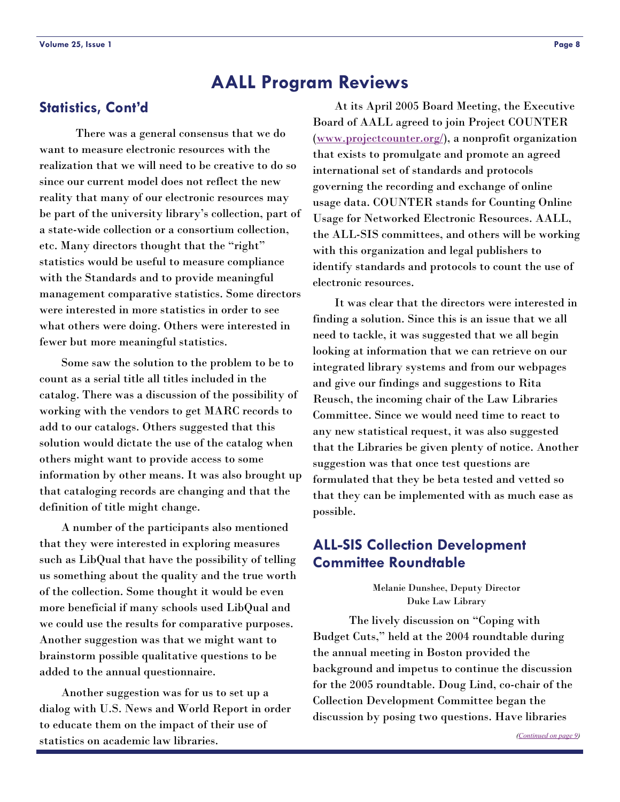There was a general consensus that we do want to measure electronic resources with the realization that we will need to be creative to do so since our current model does not reflect the new reality that many of our electronic resources may be part of the university library's collection, part of a state-wide collection or a consortium collection, etc. Many directors thought that the "right" statistics would be useful to measure compliance with the Standards and to provide meaningful management comparative statistics. Some directors were interested in more statistics in order to see what others were doing. Others were interested in fewer but more meaningful statistics.

 Some saw the solution to the problem to be to count as a serial title all titles included in the catalog. There was a discussion of the possibility of working with the vendors to get MARC records to add to our catalogs. Others suggested that this solution would dictate the use of the catalog when others might want to provide access to some information by other means. It was also brought up that cataloging records are changing and that the definition of title might change.

 A number of the participants also mentioned that they were interested in exploring measures such as LibQual that have the possibility of telling us something about the quality and the true worth of the collection. Some thought it would be even more beneficial if many schools used LibQual and we could use the results for comparative purposes. Another suggestion was that we might want to brainstorm possible qualitative questions to be added to the annual questionnaire.

 Another suggestion was for us to set up a dialog with U.S. News and World Report in order to educate them on the impact of their use of statistics on academic law libraries.

<span id="page-7-0"></span>**Statistics, Cont'd** At its April 2005 Board Meeting, the Executive Board of AALL agreed to join Project COUNTER ([www.projectcounter.org/](http://www.projectcounter.org/)), a nonprofit organization that exists to promulgate and promote an agreed international set of standards and protocols governing the recording and exchange of online usage data. COUNTER stands for Counting Online Usage for Networked Electronic Resources. AALL, the ALL-SIS committees, and others will be working with this organization and legal publishers to identify standards and protocols to count the use of electronic resources.

> It was clear that the directors were interested in finding a solution. Since this is an issue that we all need to tackle, it was suggested that we all begin looking at information that we can retrieve on our integrated library systems and from our webpages and give our findings and suggestions to Rita Reusch, the incoming chair of the Law Libraries Committee. Since we would need time to react to any new statistical request, it was also suggested that the Libraries be given plenty of notice. Another suggestion was that once test questions are formulated that they be beta tested and vetted so that they can be implemented with as much ease as possible.

# **ALL-SIS Collection Development Committee Roundtable**

Melanie Dunshee, Deputy Director Duke Law Library

 The lively discussion on "Coping with Budget Cuts," held at the 2004 roundtable during the annual meeting in Boston provided the background and impetus to continue the discussion for the 2005 roundtable. Doug Lind, co-chair of the Collection Development Committee began the discussion by posing two questions. Have libraries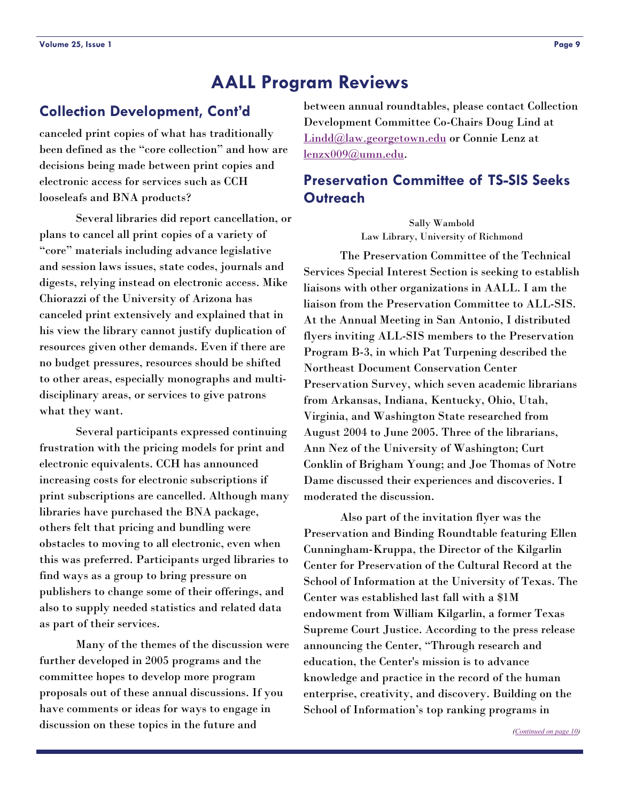## <span id="page-8-0"></span>**Collection Development, Cont'd**

canceled print copies of what has traditionally been defined as the "core collection" and how are decisions being made between print copies and electronic access for services such as CCH looseleafs and BNA products?

 Several libraries did report cancellation, or plans to cancel all print copies of a variety of "core" materials including advance legislative and session laws issues, state codes, journals and digests, relying instead on electronic access. Mike Chiorazzi of the University of Arizona has canceled print extensively and explained that in his view the library cannot justify duplication of resources given other demands. Even if there are no budget pressures, resources should be shifted to other areas, especially monographs and multidisciplinary areas, or services to give patrons what they want.

 Several participants expressed continuing frustration with the pricing models for print and electronic equivalents. CCH has announced increasing costs for electronic subscriptions if print subscriptions are cancelled. Although many libraries have purchased the BNA package, others felt that pricing and bundling were obstacles to moving to all electronic, even when this was preferred. Participants urged libraries to find ways as a group to bring pressure on publishers to change some of their offerings, and also to supply needed statistics and related data as part of their services.

 Many of the themes of the discussion were further developed in 2005 programs and the committee hopes to develop more program proposals out of these annual discussions. If you have comments or ideas for ways to engage in discussion on these topics in the future and

between annual roundtables, please contact Collection Development Committee Co-Chairs Doug Lind at [Lindd@law.georgetown.edu](mailto:Lindd@law.georgetown.edu) or Connie Lenz at [lenzx009@umn.edu](mailto:lenzx009@umn.edu).

# **Preservation Committee of TS-SIS Seeks Outreach**

Sally Wambold Law Library, University of Richmond

 The Preservation Committee of the Technical Services Special Interest Section is seeking to establish liaisons with other organizations in AALL. I am the liaison from the Preservation Committee to ALL-SIS. At the Annual Meeting in San Antonio, I distributed flyers inviting ALL-SIS members to the Preservation Program B-3, in which Pat Turpening described the Northeast Document Conservation Center Preservation Survey, which seven academic librarians from Arkansas, Indiana, Kentucky, Ohio, Utah, Virginia, and Washington State researched from August 2004 to June 2005. Three of the librarians, Ann Nez of the University of Washington; Curt Conklin of Brigham Young; and Joe Thomas of Notre Dame discussed their experiences and discoveries. I moderated the discussion.

 Also part of the invitation flyer was the Preservation and Binding Roundtable featuring Ellen Cunningham-Kruppa, the Director of the Kilgarlin Center for Preservation of the Cultural Record at the School of Information at the University of Texas. The Center was established last fall with a \$1M endowment from William Kilgarlin, a former Texas Supreme Court Justice. According to the press release announcing the Center, "Through research and education, the Center's mission is to advance knowledge and practice in the record of the human enterprise, creativity, and discovery. Building on the School of Information's top ranking programs in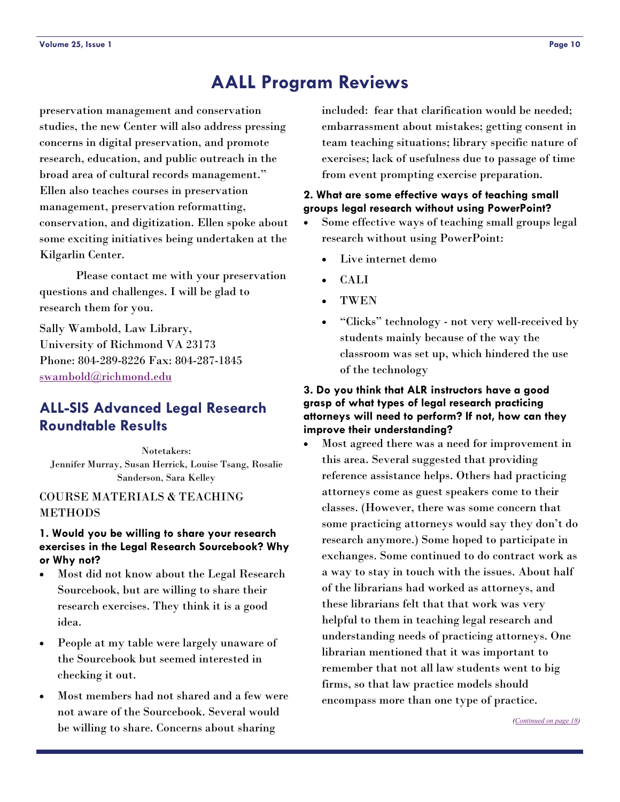<span id="page-9-0"></span>preservation management and conservation studies, the new Center will also address pressing concerns in digital preservation, and promote research, education, and public outreach in the broad area of cultural records management." Ellen also teaches courses in preservation management, preservation reformatting, conservation, and digitization. Ellen spoke about some exciting initiatives being undertaken at the Kilgarlin Center.

 Please contact me with your preservation questions and challenges. I will be glad to research them for you.

Sally Wambold, Law Library, University of Richmond VA 23173 Phone: 804-289-8226 Fax: 804-287-1845 [swambold@richmond.edu](mailto:swambold@richmond.edu)

# **ALL-SIS Advanced Legal Research Roundtable Results**

Notetakers: Jennifer Murray, Susan Herrick, Louise Tsang, Rosalie Sanderson, Sara Kelley

#### COURSE MATERIALS & TEACHING METHODS

#### **1. Would you be willing to share your research exercises in the Legal Research Sourcebook? Why or Why not?**

- Most did not know about the Legal Research Sourcebook, but are willing to share their research exercises. They think it is a good idea.
- People at my table were largely unaware of the Sourcebook but seemed interested in checking it out.
- Most members had not shared and a few were not aware of the Sourcebook. Several would be willing to share. Concerns about sharing

included: fear that clarification would be needed; embarrassment about mistakes; getting consent in team teaching situations; library specific nature of exercises; lack of usefulness due to passage of time from event prompting exercise preparation.

#### **2. What are some effective ways of teaching small groups legal research without using PowerPoint?**

- Some effective ways of teaching small groups legal research without using PowerPoint:
	- Live internet demo
	- CALI
	- TWEN
	- "Clicks" technology not very well-received by students mainly because of the way the classroom was set up, which hindered the use of the technology

#### **3. Do you think that ALR instructors have a good grasp of what types of legal research practicing attorneys will need to perform? If not, how can they improve their understanding?**

• Most agreed there was a need for improvement in this area. Several suggested that providing reference assistance helps. Others had practicing attorneys come as guest speakers come to their classes. (However, there was some concern that some practicing attorneys would say they don't do research anymore.) Some hoped to participate in exchanges. Some continued to do contract work as a way to stay in touch with the issues. About half of the librarians had worked as attorneys, and these librarians felt that that work was very helpful to them in teaching legal research and understanding needs of practicing attorneys. One librarian mentioned that it was important to remember that not all law students went to big firms, so that law practice models should encompass more than one type of practice.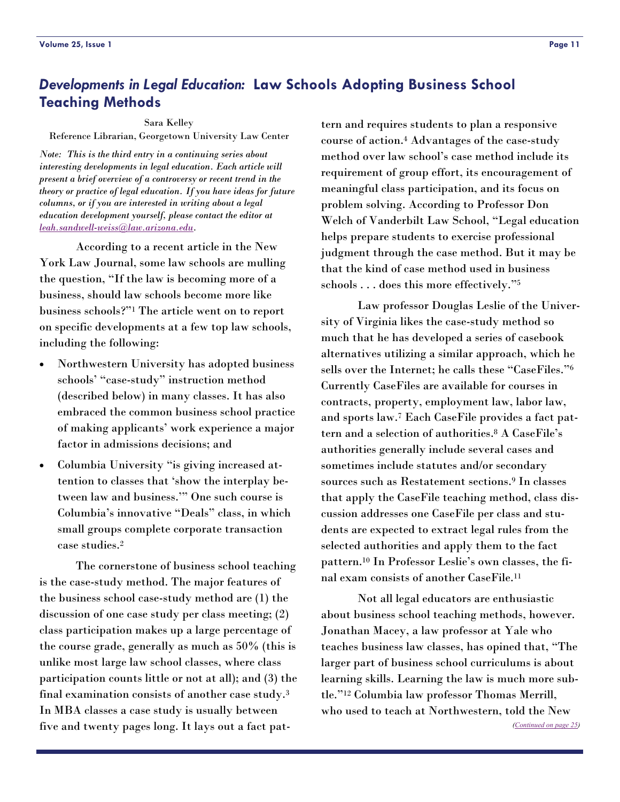# <span id="page-10-0"></span>*Developments in Legal Education:* **Law Schools Adopting Business School Teaching Methods**

#### Sara Kelley

Reference Librarian, Georgetown University Law Center

*Note: This is the third entry in a continuing series about interesting developments in legal education. Each article will present a brief overview of a controversy or recent trend in the theory or practice of legal education. If you have ideas for future columns, or if you are interested in writing about a legal education development yourself, please contact the editor at [leah.sandwell-weiss@law.arizona.edu](mailto:leah.sandwell-weiss@law.arizona.edu).* 

 According to a recent article in the New York Law Journal, some law schools are mulling the question, "If the law is becoming more of a business, should law schools become more like business schools?"1 The article went on to report on specific developments at a few top law schools, including the following:

- Northwestern University has adopted business schools' "case-study" instruction method (described below) in many classes. It has also embraced the common business school practice of making applicants' work experience a major factor in admissions decisions; and
- Columbia University "is giving increased attention to classes that 'show the interplay between law and business.'" One such course is Columbia's innovative "Deals" class, in which small groups complete corporate transaction case studies.2

 The cornerstone of business school teaching is the case-study method. The major features of the business school case-study method are (1) the discussion of one case study per class meeting; (2) class participation makes up a large percentage of the course grade, generally as much as 50% (this is unlike most large law school classes, where class participation counts little or not at all); and (3) the final examination consists of another case study.3 In MBA classes a case study is usually between five and twenty pages long. It lays out a fact pat-

tern and requires students to plan a responsive course of action.4 Advantages of the case-study method over law school's case method include its requirement of group effort, its encouragement of meaningful class participation, and its focus on problem solving. According to Professor Don Welch of Vanderbilt Law School, "Legal education helps prepare students to exercise professional judgment through the case method. But it may be that the kind of case method used in business schools . . . does this more effectively."5

 Law professor Douglas Leslie of the University of Virginia likes the case-study method so much that he has developed a series of casebook alternatives utilizing a similar approach, which he sells over the Internet; he calls these "CaseFiles."6 Currently CaseFiles are available for courses in contracts, property, employment law, labor law, and sports law.7 Each CaseFile provides a fact pattern and a selection of authorities.8 A CaseFile's authorities generally include several cases and sometimes include statutes and/or secondary sources such as Restatement sections.9 In classes that apply the CaseFile teaching method, class discussion addresses one CaseFile per class and students are expected to extract legal rules from the selected authorities and apply them to the fact pattern.10 In Professor Leslie's own classes, the final exam consists of another CaseFile.11

 Not all legal educators are enthusiastic about business school teaching methods, however. Jonathan Macey, a law professor at Yale who teaches business law classes, has opined that, "The larger part of business school curriculums is about learning skills. Learning the law is much more subtle."12 Columbia law professor Thomas Merrill, who used to teach at Northwestern, told the New

*([Continued on page 25\)](#page-24-0)*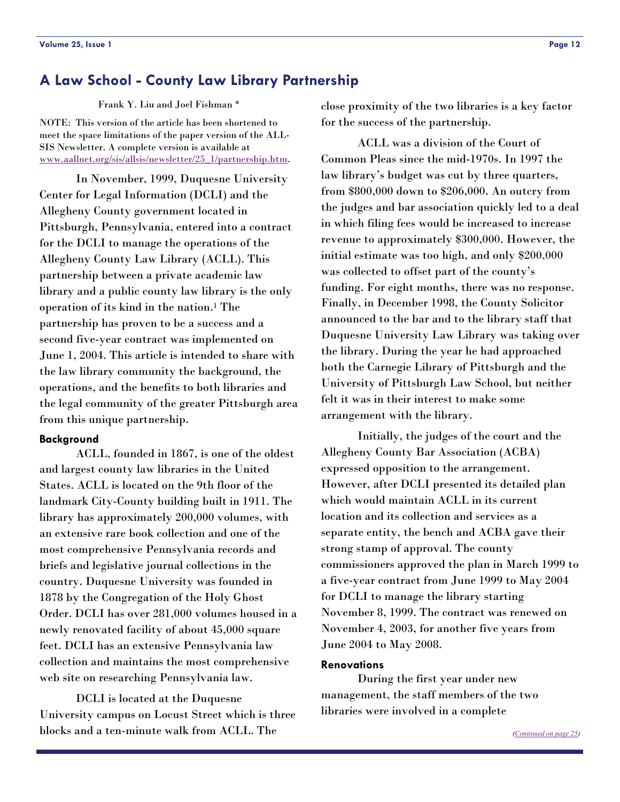Frank Y. Liu and Joel Fishman \*

<span id="page-11-0"></span>NOTE: This version of the article has been shortened to meet the space limitations of the paper version of the ALL-SIS Newsletter. A complete version is available at [www.aallnet.org/sis/allsis/newsletter/25\\_1/partnership.htm](http://www.aallnet.org/sis/allsis/newsletter/25_1/partnership.htm).

 In November, 1999, Duquesne University Center for Legal Information (DCLI) and the Allegheny County government located in Pittsburgh, Pennsylvania, entered into a contract for the DCLI to manage the operations of the Allegheny County Law Library (ACLL). This partnership between a private academic law library and a public county law library is the only operation of its kind in the nation.1 The partnership has proven to be a success and a second five-year contract was implemented on June 1, 2004. This article is intended to share with the law library community the background, the operations, and the benefits to both libraries and the legal community of the greater Pittsburgh area from this unique partnership.

#### **Background**

 ACLL, founded in 1867, is one of the oldest and largest county law libraries in the United States. ACLL is located on the 9th floor of the landmark City-County building built in 1911. The library has approximately 200,000 volumes, with an extensive rare book collection and one of the most comprehensive Pennsylvania records and briefs and legislative journal collections in the country. Duquesne University was founded in 1878 by the Congregation of the Holy Ghost Order. DCLI has over 281,000 volumes housed in a newly renovated facility of about 45,000 square feet. DCLI has an extensive Pennsylvania law collection and maintains the most comprehensive web site on researching Pennsylvania law.

 DCLI is located at the Duquesne University campus on Locust Street which is three blocks and a ten-minute walk from ACLL. The

 ACLL was a division of the Court of Common Pleas since the mid-1970s. In 1997 the law library's budget was cut by three quarters, from \$800,000 down to \$206,000. An outcry from the judges and bar association quickly led to a deal in which filing fees would be increased to increase revenue to approximately \$300,000. However, the initial estimate was too high, and only \$200,000 was collected to offset part of the county's funding. For eight months, there was no response. Finally, in December 1998, the County Solicitor announced to the bar and to the library staff that Duquesne University Law Library was taking over the library. During the year he had approached both the Carnegie Library of Pittsburgh and the University of Pittsburgh Law School, but neither felt it was in their interest to make some arrangement with the library.

 Initially, the judges of the court and the Allegheny County Bar Association (ACBA) expressed opposition to the arrangement. However, after DCLI presented its detailed plan which would maintain ACLL in its current location and its collection and services as a separate entity, the bench and ACBA gave their strong stamp of approval. The county commissioners approved the plan in March 1999 to a five-year contract from June 1999 to May 2004 for DCLI to manage the library starting November 8, 1999. The contract was renewed on November 4, 2003, for another five years from June 2004 to May 2008.

#### **Renovations**

 During the first year under new management, the staff members of the two libraries were involved in a complete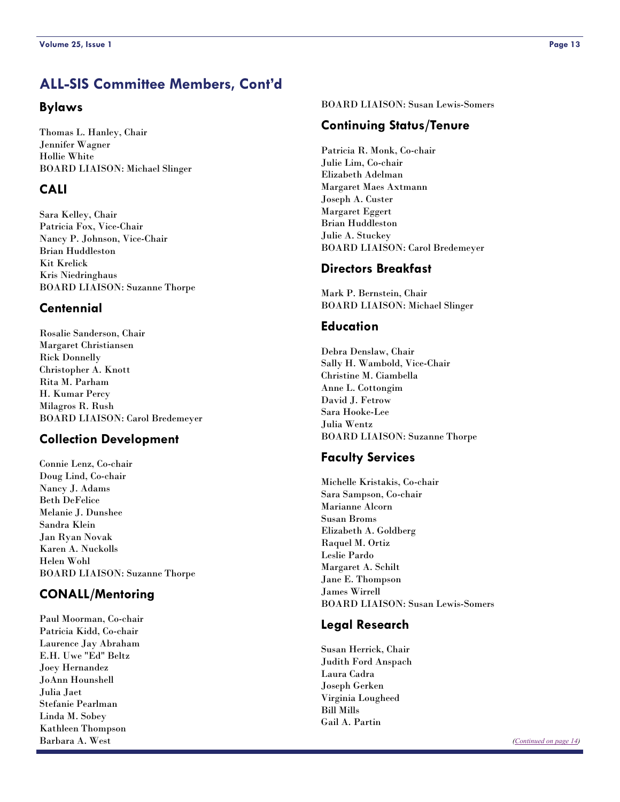# <span id="page-12-0"></span>**ALL-SIS Committee Members, Cont'd**

#### **Bylaws**

Thomas L. Hanley, Chair Jennifer Wagner Hollie White BOARD LIAISON: Michael Slinger

#### **CALI**

Sara Kelley, Chair Patricia Fox, Vice-Chair Nancy P. Johnson, Vice-Chair Brian Huddleston Kit Krelick Kris Niedringhaus BOARD LIAISON: Suzanne Thorpe

#### **Centennial**

Rosalie Sanderson, Chair Margaret Christiansen Rick Donnelly Christopher A. Knott Rita M. Parham H. Kumar Percy Milagros R. Rush BOARD LIAISON: Carol Bredemeyer

## **Collection Development**

Connie Lenz, Co-chair Doug Lind, Co-chair Nancy J. Adams Beth DeFelice Melanie J. Dunshee Sandra Klein Jan Ryan Novak Karen A. Nuckolls Helen Wohl BOARD LIAISON: Suzanne Thorpe

## **CONALL/Mentoring**

Paul Moorman, Co-chair Patricia Kidd, Co-chair Laurence Jay Abraham E.H. Uwe "Ed" Beltz Joey Hernandez JoAnn Hounshell Julia Jaet Stefanie Pearlman Linda M. Sobey Kathleen Thompson Barbara A. West

BOARD LIAISON: Susan Lewis-Somers

#### **Continuing Status/Tenure**

Patricia R. Monk, Co-chair Julie Lim, Co-chair Elizabeth Adelman Margaret Maes Axtmann Joseph A. Custer Margaret Eggert Brian Huddleston Julie A. Stuckey BOARD LIAISON: Carol Bredemeyer

#### **Directors Breakfast**

Mark P. Bernstein, Chair BOARD LIAISON: Michael Slinger

#### **Education**

Debra Denslaw, Chair Sally H. Wambold, Vice-Chair Christine M. Ciambella Anne L. Cottongim David J. Fetrow Sara Hooke-Lee Julia Wentz BOARD LIAISON: Suzanne Thorpe

#### **Faculty Services**

Michelle Kristakis, Co-chair Sara Sampson, Co-chair Marianne Alcorn Susan Broms Elizabeth A. Goldberg Raquel M. Ortiz Leslie Pardo Margaret A. Schilt Jane E. Thompson James Wirrell BOARD LIAISON: Susan Lewis-Somers

#### **Legal Research**

Susan Herrick, Chair Judith Ford Anspach Laura Cadra Joseph Gerken Virginia Lougheed Bill Mills Gail A. Partin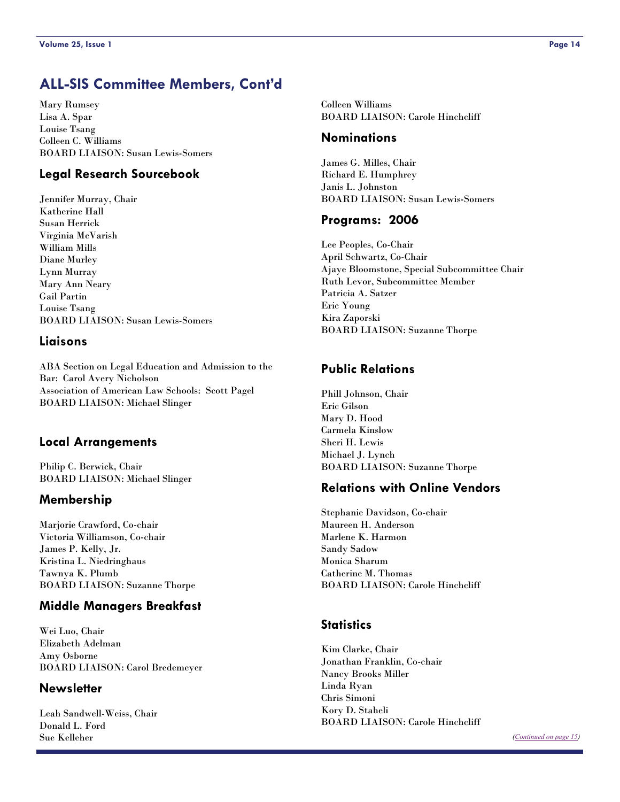# <span id="page-13-0"></span>**ALL-SIS Committee Members, Cont'd**

Mary Rumsey Lisa A. Spar Louise Tsang Colleen C. Williams BOARD LIAISON: Susan Lewis-Somers

#### **Legal Research Sourcebook**

Jennifer Murray, Chair Katherine Hall Susan Herrick Virginia McVarish William Mills Diane Murley Lynn Murray Mary Ann Neary Gail Partin Louise Tsang BOARD LIAISON: Susan Lewis-Somers

#### **Liaisons**

ABA Section on Legal Education and Admission to the Bar: Carol Avery Nicholson Association of American Law Schools: Scott Pagel BOARD LIAISON: Michael Slinger

#### **Local Arrangements**

Philip C. Berwick, Chair BOARD LIAISON: Michael Slinger

#### **Membership**

Marjorie Crawford, Co-chair Victoria Williamson, Co-chair James P. Kelly, Jr. Kristina L. Niedringhaus Tawnya K. Plumb BOARD LIAISON: Suzanne Thorpe

#### **Middle Managers Breakfast**

Wei Luo, Chair Elizabeth Adelman Amy Osborne BOARD LIAISON: Carol Bredemeyer

#### **Newsletter**

Leah Sandwell-Weiss, Chair Donald L. Ford Sue Kelleher

Colleen Williams BOARD LIAISON: Carole Hinchcliff

#### **Nominations**

James G. Milles, Chair Richard E. Humphrey Janis L. Johnston BOARD LIAISON: Susan Lewis-Somers

#### **Programs: 2006**

Lee Peoples, Co-Chair April Schwartz, Co-Chair Ajaye Bloomstone, Special Subcommittee Chair Ruth Levor, Subcommittee Member Patricia A. Satzer Eric Young Kira Zaporski BOARD LIAISON: Suzanne Thorpe

#### **Public Relations**

Phill Johnson, Chair Eric Gilson Mary D. Hood Carmela Kinslow Sheri H. Lewis Michael J. Lynch BOARD LIAISON: Suzanne Thorpe

#### **Relations with Online Vendors**

Stephanie Davidson, Co-chair Maureen H. Anderson Marlene K. Harmon Sandy Sadow Monica Sharum Catherine M. Thomas BOARD LIAISON: Carole Hinchcliff

#### **Statistics**

Kim Clarke, Chair Jonathan Franklin, Co-chair Nancy Brooks Miller Linda Ryan Chris Simoni Kory D. Staheli BOARD LIAISON: Carole Hinchcliff

*[\(Continued on page 15\)](#page-14-0)*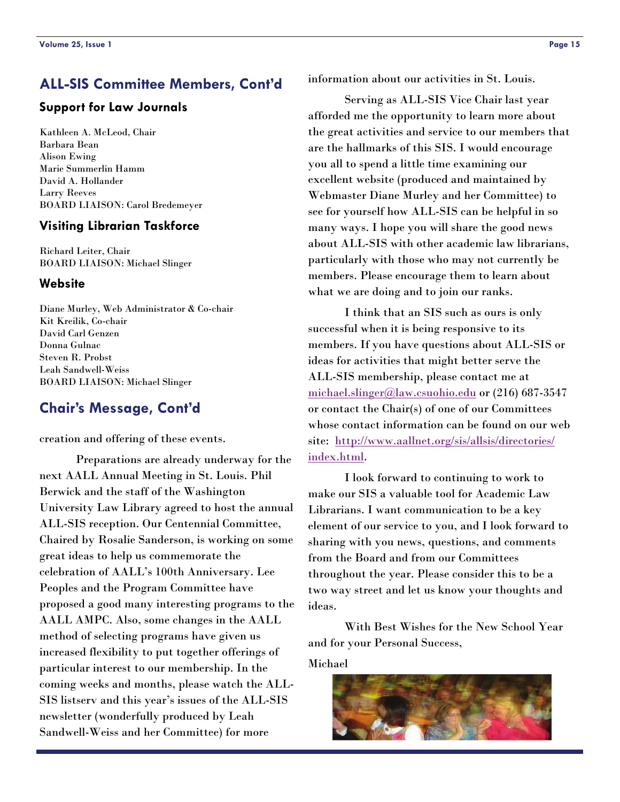# <span id="page-14-0"></span>**ALL-SIS Committee Members, Cont'd**

#### **Support for Law Journals**

Kathleen A. McLeod, Chair Barbara Bean Alison Ewing Marie Summerlin Hamm David A. Hollander Larry Reeves BOARD LIAISON: Carol Bredemeyer

#### **Visiting Librarian Taskforce**

Richard Leiter, Chair BOARD LIAISON: Michael Slinger

#### **Website**

Diane Murley, Web Administrator & Co-chair Kit Kreilik, Co-chair David Carl Genzen Donna Gulnac Steven R. Probst Leah Sandwell-Weiss BOARD LIAISON: Michael Slinger

# **Chair's Message, Cont'd**

creation and offering of these events.

 Preparations are already underway for the next AALL Annual Meeting in St. Louis. Phil Berwick and the staff of the Washington University Law Library agreed to host the annual ALL-SIS reception. Our Centennial Committee, Chaired by Rosalie Sanderson, is working on some great ideas to help us commemorate the celebration of AALL's 100th Anniversary. Lee Peoples and the Program Committee have proposed a good many interesting programs to the AALL AMPC. Also, some changes in the AALL method of selecting programs have given us increased flexibility to put together offerings of particular interest to our membership. In the coming weeks and months, please watch the ALL-SIS listserv and this year's issues of the ALL-SIS newsletter (wonderfully produced by Leah Sandwell-Weiss and her Committee) for more

information about our activities in St. Louis.

 Serving as ALL-SIS Vice Chair last year afforded me the opportunity to learn more about the great activities and service to our members that are the hallmarks of this SIS. I would encourage you all to spend a little time examining our excellent website (produced and maintained by Webmaster Diane Murley and her Committee) to see for yourself how ALL-SIS can be helpful in so many ways. I hope you will share the good news about ALL-SIS with other academic law librarians, particularly with those who may not currently be members. Please encourage them to learn about what we are doing and to join our ranks.

 I think that an SIS such as ours is only successful when it is being responsive to its members. If you have questions about ALL-SIS or ideas for activities that might better serve the ALL-SIS membership, please contact me at [michael.slinger@law.csuohio.edu](mailto:michael.slinger@law.csuohio.edu) or (216) 687-3547 or contact the Chair(s) of one of our Committees whose contact information can be found on our web site: [http://www.aallnet.org/sis/allsis/directories/](http://www.aallnet.org/sis/allsis/directories/index.html) [index.html](http://www.aallnet.org/sis/allsis/directories/index.html).

 I look forward to continuing to work to make our SIS a valuable tool for Academic Law Librarians. I want communication to be a key element of our service to you, and I look forward to sharing with you news, questions, and comments from the Board and from our Committees throughout the year. Please consider this to be a two way street and let us know your thoughts and ideas.

 With Best Wishes for the New School Year and for your Personal Success,

Michael

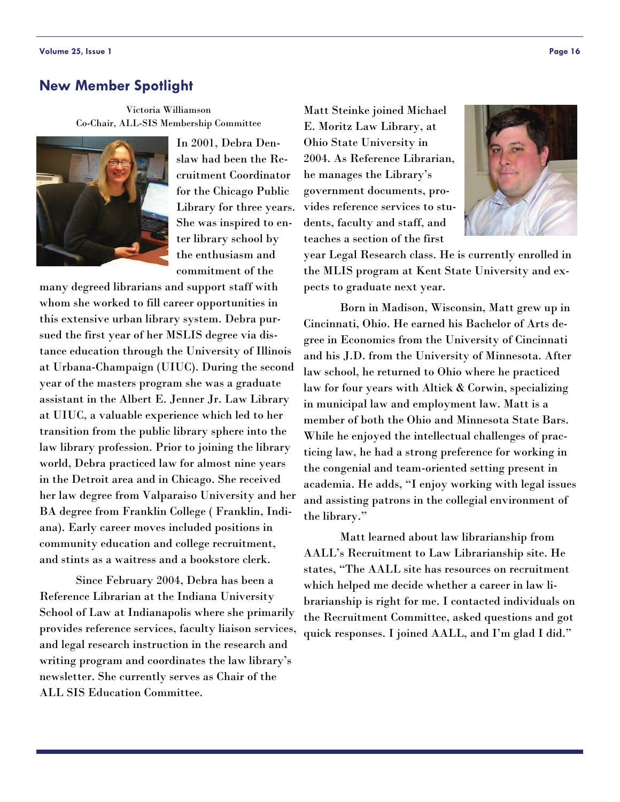#### <span id="page-15-0"></span>**New Member Spotlight**

Victoria Williamson Co-Chair, ALL-SIS Membership Committee



In 2001, Debra Denslaw had been the Recruitment Coordinator for the Chicago Public Library for three years. She was inspired to enter library school by the enthusiasm and commitment of the

many degreed librarians and support staff with whom she worked to fill career opportunities in this extensive urban library system. Debra pursued the first year of her MSLIS degree via distance education through the University of Illinois at Urbana-Champaign (UIUC). During the second year of the masters program she was a graduate assistant in the Albert E. Jenner Jr. Law Library at UIUC, a valuable experience which led to her transition from the public library sphere into the law library profession. Prior to joining the library world, Debra practiced law for almost nine years in the Detroit area and in Chicago. She received her law degree from Valparaiso University and her BA degree from Franklin College ( Franklin, Indiana). Early career moves included positions in community education and college recruitment, and stints as a waitress and a bookstore clerk.

 Since February 2004, Debra has been a Reference Librarian at the Indiana University School of Law at Indianapolis where she primarily provides reference services, faculty liaison services, and legal research instruction in the research and writing program and coordinates the law library's newsletter. She currently serves as Chair of the ALL SIS Education Committee.

Matt Steinke joined Michael E. Moritz Law Library, at Ohio State University in 2004. As Reference Librarian, he manages the Library's government documents, provides reference services to students, faculty and staff, and teaches a section of the first



year Legal Research class. He is currently enrolled in the MLIS program at Kent State University and expects to graduate next year.

 Born in Madison, Wisconsin, Matt grew up in Cincinnati, Ohio. He earned his Bachelor of Arts degree in Economics from the University of Cincinnati and his J.D. from the University of Minnesota. After law school, he returned to Ohio where he practiced law for four years with Altick & Corwin, specializing in municipal law and employment law. Matt is a member of both the Ohio and Minnesota State Bars. While he enjoyed the intellectual challenges of practicing law, he had a strong preference for working in the congenial and team-oriented setting present in academia. He adds, "I enjoy working with legal issues and assisting patrons in the collegial environment of the library."

 Matt learned about law librarianship from AALL's Recruitment to Law Librarianship site. He states, "The AALL site has resources on recruitment which helped me decide whether a career in law librarianship is right for me. I contacted individuals on the Recruitment Committee, asked questions and got quick responses. I joined AALL, and I'm glad I did."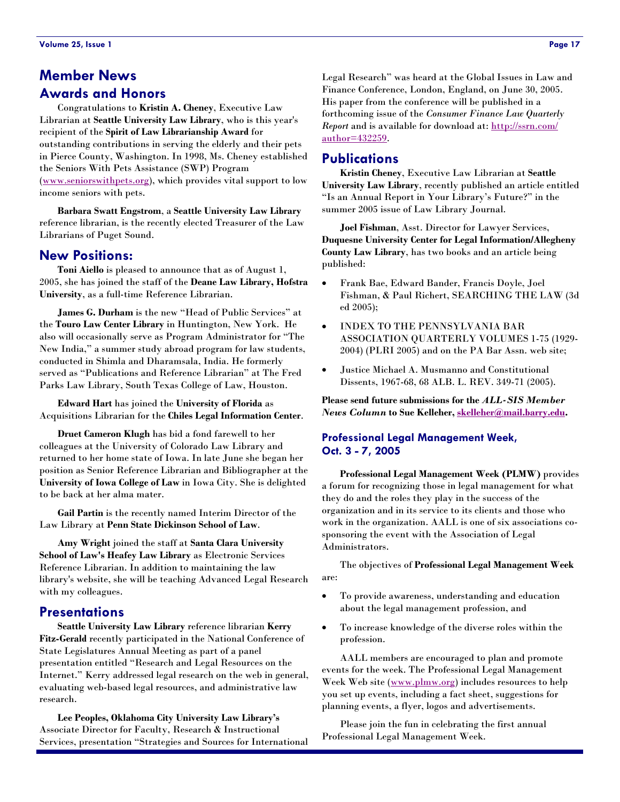# <span id="page-16-0"></span>**Member News Awards and Honors**

 Congratulations to **Kristin A. Cheney**, Executive Law Librarian at **Seattle University Law Library**, who is this year's recipient of the **Spirit of Law Librarianship Award** for outstanding contributions in serving the elderly and their pets in Pierce County, Washington. In 1998, Ms. Cheney established the Seniors With Pets Assistance (SWP) Program [\(www.seniorswithpets.org](http://www.seniorswithpets.org)), which provides vital support to low income seniors with pets.

 **Barbara Swatt Engstrom**, a **Seattle University Law Library** reference librarian, is the recently elected Treasurer of the Law Librarians of Puget Sound.

#### **New Positions:**

**Toni Aiello** is pleased to announce that as of August 1, 2005, she has joined the staff of the **Deane Law Library, Hofstra University**, as a full-time Reference Librarian.

 **James G. Durham** is the new "Head of Public Services" at the **Touro Law Center Library** in Huntington, New York. He also will occasionally serve as Program Administrator for "The New India," a summer study abroad program for law students, conducted in Shimla and Dharamsala, India. He formerly served as "Publications and Reference Librarian" at The Fred Parks Law Library, South Texas College of Law, Houston.

 **Edward Hart** has joined the **University of Florida** as Acquisitions Librarian for the **Chiles Legal Information Center**.

 **Druet Cameron Klugh** has bid a fond farewell to her colleagues at the University of Colorado Law Library and returned to her home state of Iowa. In late June she began her position as Senior Reference Librarian and Bibliographer at the **University of Iowa College of Law** in Iowa City. She is delighted to be back at her alma mater.

 **Gail Partin** is the recently named Interim Director of the Law Library at **Penn State Dickinson School of Law**.

**Amy Wright** joined the staff at **Santa Clara University School of Law's Heafey Law Library** as Electronic Services Reference Librarian. In addition to maintaining the law library's website, she will be teaching Advanced Legal Research with my colleagues.

#### **Presentations**

**Seattle University Law Library** reference librarian **Kerry Fitz-Gerald** recently participated in the National Conference of State Legislatures Annual Meeting as part of a panel presentation entitled "Research and Legal Resources on the Internet." Kerry addressed legal research on the web in general, evaluating web-based legal resources, and administrative law research.

**Lee Peoples, Oklahoma City University Law Library's** Associate Director for Faculty, Research & Instructional Services, presentation "Strategies and Sources for International Legal Research" was heard at the Global Issues in Law and Finance Conference, London, England, on June 30, 2005. His paper from the conference will be published in a forthcoming issue of the *Consumer Finance Law Quarterly Report* and is available for download at: [http://ssrn.com/](http://ssrn.com/author=432259) [author=432259.](http://ssrn.com/author=432259)

#### **Publications**

**Kristin Cheney**, Executive Law Librarian at **Seattle University Law Library**, recently published an article entitled "Is an Annual Report in Your Library's Future?" in the summer 2005 issue of Law Library Journal.

 **Joel Fishman**, Asst. Director for Lawyer Services, **Duquesne University Center for Legal Information/Allegheny County Law Library**, has two books and an article being published:

- Frank Bae, Edward Bander, Francis Doyle, Joel Fishman, & Paul Richert, SEARCHING THE LAW (3d ed 2005);
- INDEX TO THE PENNSYLVANIA BAR ASSOCIATION QUARTERLY VOLUMES 1-75 (1929- 2004) (PLRI 2005) and on the PA Bar Assn. web site;
- Justice Michael A. Musmanno and Constitutional Dissents, 1967-68, 68 ALB. L. REV. 349-71 (2005).

**Please send future submissions for the** *ALL-SIS Member News Column* **to Sue Kelleher, [skelleher@mail.barry.edu](mailto:skelleher@mail.barry.edu).** 

#### **Professional Legal Management Week, Oct. 3 - 7, 2005**

**Professional Legal Management Week (PLMW)** provides a forum for recognizing those in legal management for what they do and the roles they play in the success of the organization and in its service to its clients and those who work in the organization. AALL is one of six associations cosponsoring the event with the Association of Legal Administrators.

 The objectives of **Professional Legal Management Week** are:

- To provide awareness, understanding and education about the legal management profession, and
- To increase knowledge of the diverse roles within the profession.

 AALL members [are encouraged t](http://www.plmw.org)o plan and promote events for the week. The Professional Legal Management Week Web site (www.plmw.org) includes resources to help you set up events, including a fact sheet, suggestions for planning events, a flyer, logos and advertisements.

 Please join the fun in celebrating the first annual Professional Legal Management Week.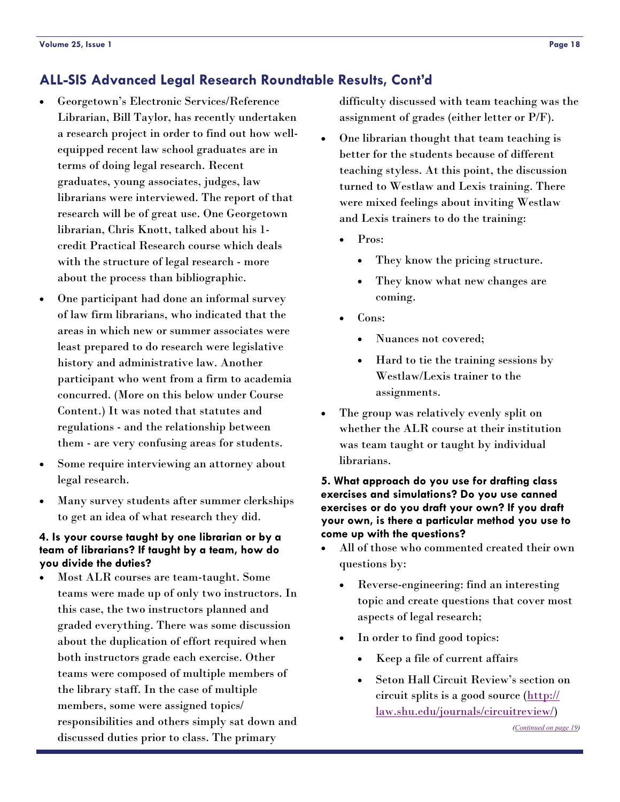- <span id="page-17-0"></span>• Georgetown's Electronic Services/Reference Librarian, Bill Taylor, has recently undertaken a research project in order to find out how wellequipped recent law school graduates are in terms of doing legal research. Recent graduates, young associates, judges, law librarians were interviewed. The report of that research will be of great use. One Georgetown librarian, Chris Knott, talked about his 1 credit Practical Research course which deals with the structure of legal research - more about the process than bibliographic.
- One participant had done an informal survey of law firm librarians, who indicated that the areas in which new or summer associates were least prepared to do research were legislative history and administrative law. Another participant who went from a firm to academia concurred. (More on this below under Course Content.) It was noted that statutes and regulations - and the relationship between them - are very confusing areas for students.
- Some require interviewing an attorney about legal research.
- Many survey students after summer clerkships to get an idea of what research they did.

#### **4. Is your course taught by one librarian or by a team of librarians? If taught by a team, how do you divide the duties?**

• Most ALR courses are team-taught. Some teams were made up of only two instructors. In this case, the two instructors planned and graded everything. There was some discussion about the duplication of effort required when both instructors grade each exercise. Other teams were composed of multiple members of the library staff. In the case of multiple members, some were assigned topics/ responsibilities and others simply sat down and discussed duties prior to class. The primary

difficulty discussed with team teaching was the assignment of grades (either letter or P/F).

- One librarian thought that team teaching is better for the students because of different teaching styless. At this point, the discussion turned to Westlaw and Lexis training. There were mixed feelings about inviting Westlaw and Lexis trainers to do the training:
	- Pros:
		- They know the pricing structure.
		- They know what new changes are coming.
	- Cons:
		- Nuances not covered;
		- Hard to tie the training sessions by Westlaw/Lexis trainer to the assignments.
- The group was relatively evenly split on whether the ALR course at their institution was team taught or taught by individual librarians.

#### **5. What approach do you use for drafting class exercises and simulations? Do you use canned exercises or do you draft your own? If you draft your own, is there a particular method you use to come up with the questions?**

- All of those who commented created their own questions by:
	- Reverse-engineering: find an interesting topic and create questions that cover most aspects of legal research;
	- In order to find good topics:
		- Keep a file of current affairs
		- Seton Hall Circuit Review's section on circuit splits is a good source ([http://](http://law.shu.edu/journals/circuitreview/) [law.shu.edu/journals/circuitreview/](http://law.shu.edu/journals/circuitreview/))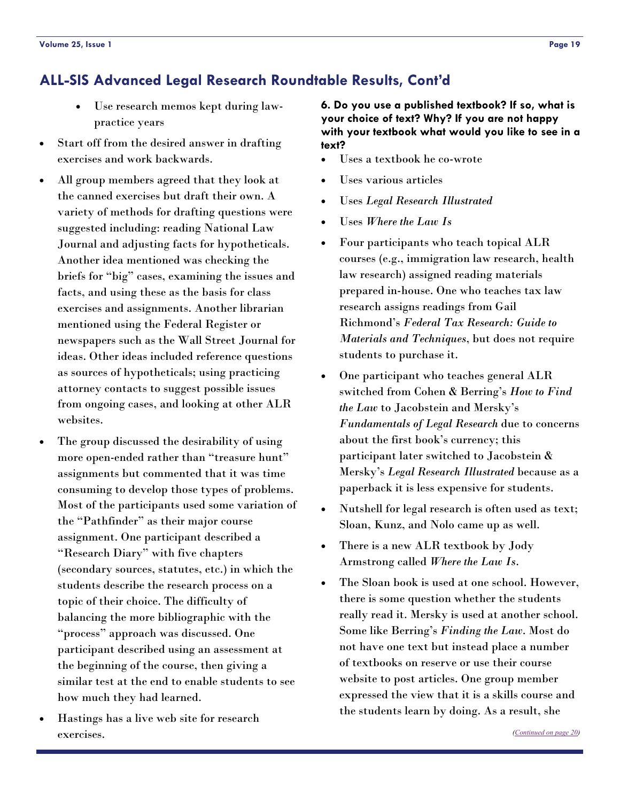- <span id="page-18-0"></span>Use research memos kept during lawpractice years
- Start off from the desired answer in drafting exercises and work backwards.
- All group members agreed that they look at the canned exercises but draft their own. A variety of methods for drafting questions were suggested including: reading National Law Journal and adjusting facts for hypotheticals. Another idea mentioned was checking the briefs for "big" cases, examining the issues and facts, and using these as the basis for class exercises and assignments. Another librarian mentioned using the Federal Register or newspapers such as the Wall Street Journal for ideas. Other ideas included reference questions as sources of hypotheticals; using practicing attorney contacts to suggest possible issues from ongoing cases, and looking at other ALR websites.
- The group discussed the desirability of using more open-ended rather than "treasure hunt" assignments but commented that it was time consuming to develop those types of problems. Most of the participants used some variation of the "Pathfinder" as their major course assignment. One participant described a "Research Diary" with five chapters (secondary sources, statutes, etc.) in which the students describe the research process on a topic of their choice. The difficulty of balancing the more bibliographic with the "process" approach was discussed. One participant described using an assessment at the beginning of the course, then giving a similar test at the end to enable students to see how much they had learned.
- Hastings has a live web site for research exercises.

**6. Do you use a published textbook? If so, what is your choice of text? Why? If you are not happy with your textbook what would you like to see in a text?** 

- Uses a textbook he co-wrote
- Uses various articles
- Uses *Legal Research Illustrated*
- Uses *Where the Law Is*
- Four participants who teach topical ALR courses (e.g., immigration law research, health law research) assigned reading materials prepared in-house. One who teaches tax law research assigns readings from Gail Richmond's *Federal Tax Research: Guide to Materials and Techniques*, but does not require students to purchase it.
- One participant who teaches general ALR switched from Cohen & Berring's *How to Find the Law* to Jacobstein and Mersky's *Fundamentals of Legal Research* due to concerns about the first book's currency; this participant later switched to Jacobstein & Mersky's *Legal Research Illustrated* because as a paperback it is less expensive for students.
- Nutshell for legal research is often used as text; Sloan, Kunz, and Nolo came up as well.
- There is a new ALR textbook by Jody Armstrong called *Where the Law Is*.
- The Sloan book is used at one school. However, there is some question whether the students really read it. Mersky is used at another school. Some like Berring's *Finding the Law*. Most do not have one text but instead place a number of textbooks on reserve or use their course website to post articles. One group member expressed the view that it is a skills course and the students learn by doing. As a result, she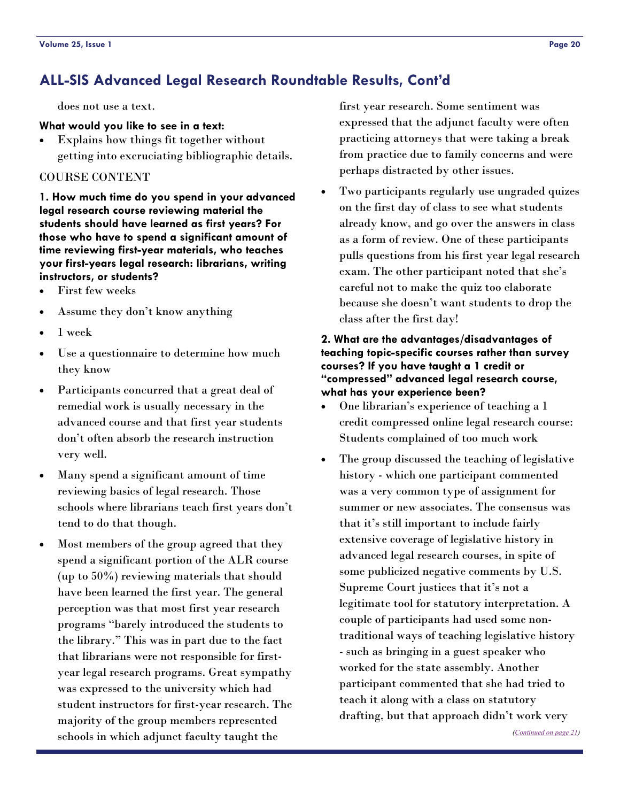<span id="page-19-0"></span>does not use a text.

#### **What would you like to see in a text:**

• Explains how things fit together without getting into excruciating bibliographic details.

#### COURSE CONTENT

**1. How much time do you spend in your advanced legal research course reviewing material the students should have learned as first years? For those who have to spend a significant amount of time reviewing first-year materials, who teaches your first-years legal research: librarians, writing instructors, or students?** 

- First few weeks
- Assume they don't know anything
- 1 week
- Use a questionnaire to determine how much they know
- Participants concurred that a great deal of remedial work is usually necessary in the advanced course and that first year students don't often absorb the research instruction very well.
- Many spend a significant amount of time reviewing basics of legal research. Those schools where librarians teach first years don't tend to do that though.
- Most members of the group agreed that they spend a significant portion of the ALR course (up to 50%) reviewing materials that should have been learned the first year. The general perception was that most first year research programs "barely introduced the students to the library." This was in part due to the fact that librarians were not responsible for firstyear legal research programs. Great sympathy was expressed to the university which had student instructors for first-year research. The majority of the group members represented schools in which adjunct faculty taught the

first year research. Some sentiment was expressed that the adjunct faculty were often practicing attorneys that were taking a break from practice due to family concerns and were perhaps distracted by other issues.

• Two participants regularly use ungraded quizes on the first day of class to see what students already know, and go over the answers in class as a form of review. One of these participants pulls questions from his first year legal research exam. The other participant noted that she's careful not to make the quiz too elaborate because she doesn't want students to drop the class after the first day!

#### **2. What are the advantages/disadvantages of teaching topic-specific courses rather than survey courses? If you have taught a 1 credit or "compressed" advanced legal research course, what has your experience been?**

- One librarian's experience of teaching a 1 credit compressed online legal research course: Students complained of too much work
- The group discussed the teaching of legislative history - which one participant commented was a very common type of assignment for summer or new associates. The consensus was that it's still important to include fairly extensive coverage of legislative history in advanced legal research courses, in spite of some publicized negative comments by U.S. Supreme Court justices that it's not a legitimate tool for statutory interpretation. A couple of participants had used some nontraditional ways of teaching legislative history - such as bringing in a guest speaker who worked for the state assembly. Another participant commented that she had tried to teach it along with a class on statutory drafting, but that approach didn't work very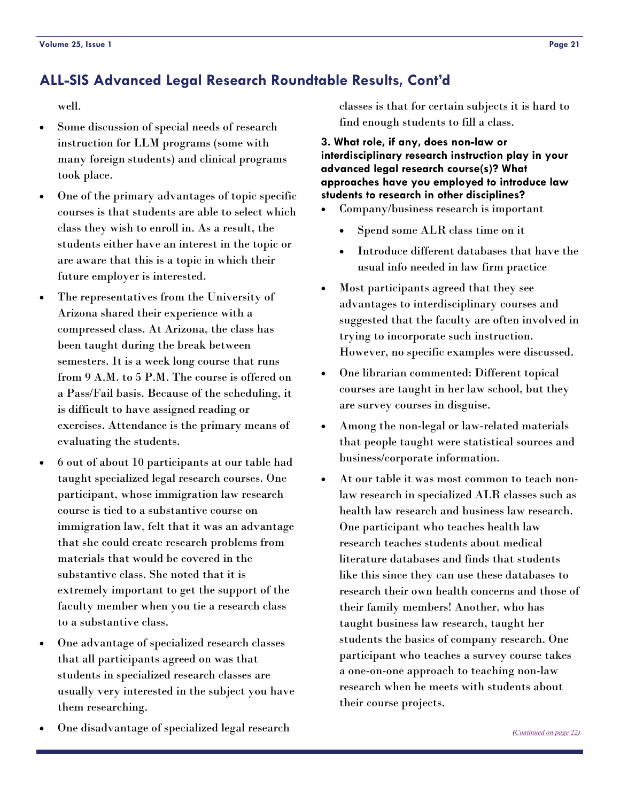<span id="page-20-0"></span>well.

- Some discussion of special needs of research instruction for LLM programs (some with many foreign students) and clinical programs took place.
- One of the primary advantages of topic specific courses is that students are able to select which class they wish to enroll in. As a result, the students either have an interest in the topic or are aware that this is a topic in which their future employer is interested.
- The representatives from the University of Arizona shared their experience with a compressed class. At Arizona, the class has been taught during the break between semesters. It is a week long course that runs from 9 A.M. to 5 P.M. The course is offered on a Pass/Fail basis. Because of the scheduling, it is difficult to have assigned reading or exercises. Attendance is the primary means of evaluating the students.
- 6 out of about 10 participants at our table had taught specialized legal research courses. One participant, whose immigration law research course is tied to a substantive course on immigration law, felt that it was an advantage that she could create research problems from materials that would be covered in the substantive class. She noted that it is extremely important to get the support of the faculty member when you tie a research class to a substantive class.
- One advantage of specialized research classes that all participants agreed on was that students in specialized research classes are usually very interested in the subject you have them researching.
- One disadvantage of specialized legal research

classes is that for certain subjects it is hard to find enough students to fill a class.

#### **3. What role, if any, does non-law or interdisciplinary research instruction play in your advanced legal research course(s)? What approaches have you employed to introduce law students to research in other disciplines?**

- Company/business research is important
	- Spend some ALR class time on it
	- Introduce different databases that have the usual info needed in law firm practice
- Most participants agreed that they see advantages to interdisciplinary courses and suggested that the faculty are often involved in trying to incorporate such instruction. However, no specific examples were discussed.
- One librarian commented: Different topical courses are taught in her law school, but they are survey courses in disguise.
- Among the non-legal or law-related materials that people taught were statistical sources and business/corporate information.
- At our table it was most common to teach nonlaw research in specialized ALR classes such as health law research and business law research. One participant who teaches health law research teaches students about medical literature databases and finds that students like this since they can use these databases to research their own health concerns and those of their family members! Another, who has taught business law research, taught her students the basics of company research. One participant who teaches a survey course takes a one-on-one approach to teaching non-law research when he meets with students about their course projects.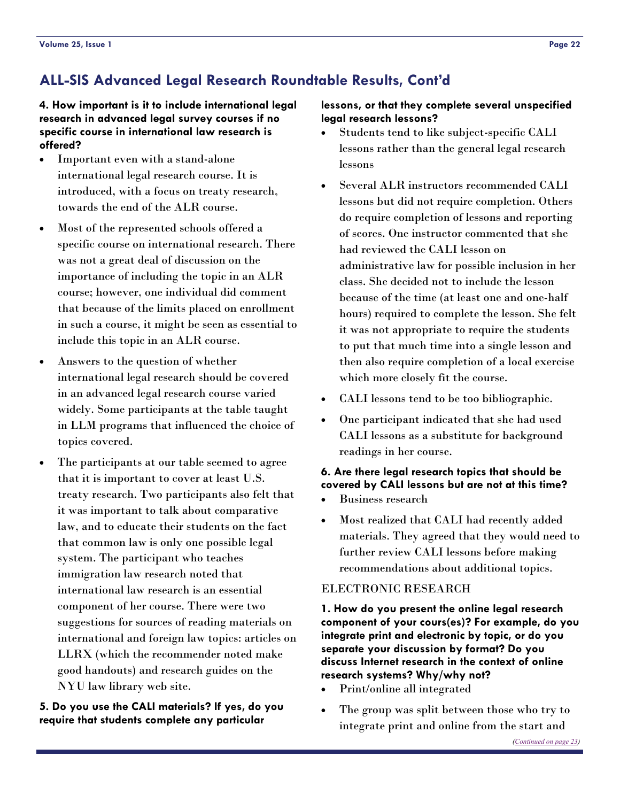#### <span id="page-21-0"></span>**4. How important is it to include international legal research in advanced legal survey courses if no specific course in international law research is offered?**

- Important even with a stand-alone international legal research course. It is introduced, with a focus on treaty research, towards the end of the ALR course.
- Most of the represented schools offered a specific course on international research. There was not a great deal of discussion on the importance of including the topic in an ALR course; however, one individual did comment that because of the limits placed on enrollment in such a course, it might be seen as essential to include this topic in an ALR course.
- Answers to the question of whether international legal research should be covered in an advanced legal research course varied widely. Some participants at the table taught in LLM programs that influenced the choice of topics covered.
- The participants at our table seemed to agree that it is important to cover at least U.S. treaty research. Two participants also felt that it was important to talk about comparative law, and to educate their students on the fact that common law is only one possible legal system. The participant who teaches immigration law research noted that international law research is an essential component of her course. There were two suggestions for sources of reading materials on international and foreign law topics: articles on LLRX (which the recommender noted make good handouts) and research guides on the NYU law library web site.

#### **5. Do you use the CALI materials? If yes, do you require that students complete any particular**

#### **lessons, or that they complete several unspecified legal research lessons?**

- Students tend to like subject-specific CALI lessons rather than the general legal research lessons
- Several ALR instructors recommended CALI lessons but did not require completion. Others do require completion of lessons and reporting of scores. One instructor commented that she had reviewed the CALI lesson on administrative law for possible inclusion in her class. She decided not to include the lesson because of the time (at least one and one-half hours) required to complete the lesson. She felt it was not appropriate to require the students to put that much time into a single lesson and then also require completion of a local exercise which more closely fit the course.
- CALI lessons tend to be too bibliographic.
- One participant indicated that she had used CALI lessons as a substitute for background readings in her course.

#### **6. Are there legal research topics that should be covered by CALI lessons but are not at this time?**

- Business research
- Most realized that CALI had recently added materials. They agreed that they would need to further review CALI lessons before making recommendations about additional topics.

#### ELECTRONIC RESEARCH

**1. How do you present the online legal research component of your cours(es)? For example, do you integrate print and electronic by topic, or do you separate your discussion by format? Do you discuss Internet research in the context of online research systems? Why/why not?** 

- Print/online all integrated
- The group was split between those who try to integrate print and online from the start and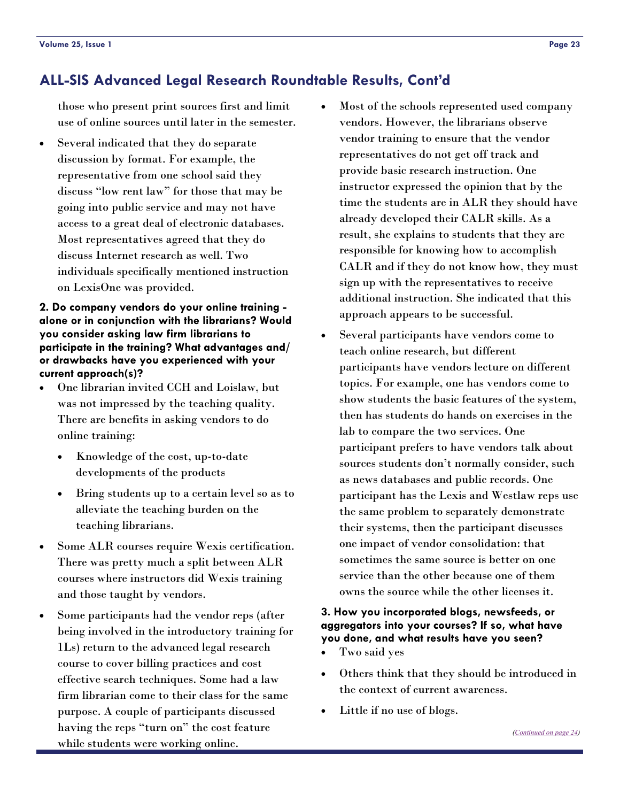<span id="page-22-0"></span>those who present print sources first and limit use of online sources until later in the semester.

Several indicated that they do separate discussion by format. For example, the representative from one school said they discuss "low rent law" for those that may be going into public service and may not have access to a great deal of electronic databases. Most representatives agreed that they do discuss Internet research as well. Two individuals specifically mentioned instruction on LexisOne was provided.

#### **2. Do company vendors do your online training alone or in conjunction with the librarians? Would you consider asking law firm librarians to participate in the training? What advantages and/ or drawbacks have you experienced with your current approach(s)?**

- One librarian invited CCH and Loislaw, but was not impressed by the teaching quality. There are benefits in asking vendors to do online training:
	- Knowledge of the cost, up-to-date developments of the products
	- Bring students up to a certain level so as to alleviate the teaching burden on the teaching librarians.
- Some ALR courses require Wexis certification. There was pretty much a split between ALR courses where instructors did Wexis training and those taught by vendors.
- Some participants had the vendor reps (after being involved in the introductory training for 1Ls) return to the advanced legal research course to cover billing practices and cost effective search techniques. Some had a law firm librarian come to their class for the same purpose. A couple of participants discussed having the reps "turn on" the cost feature while students were working online.
- Most of the schools represented used company vendors. However, the librarians observe vendor training to ensure that the vendor representatives do not get off track and provide basic research instruction. One instructor expressed the opinion that by the time the students are in ALR they should have already developed their CALR skills. As a result, she explains to students that they are responsible for knowing how to accomplish CALR and if they do not know how, they must sign up with the representatives to receive additional instruction. She indicated that this approach appears to be successful.
- Several participants have vendors come to teach online research, but different participants have vendors lecture on different topics. For example, one has vendors come to show students the basic features of the system, then has students do hands on exercises in the lab to compare the two services. One participant prefers to have vendors talk about sources students don't normally consider, such as news databases and public records. One participant has the Lexis and Westlaw reps use the same problem to separately demonstrate their systems, then the participant discusses one impact of vendor consolidation: that sometimes the same source is better on one service than the other because one of them owns the source while the other licenses it.

#### **3. How you incorporated blogs, newsfeeds, or aggregators into your courses? If so, what have you done, and what results have you seen?**

- Two said yes
- Others think that they should be introduced in the context of current awareness.
- Little if no use of blogs.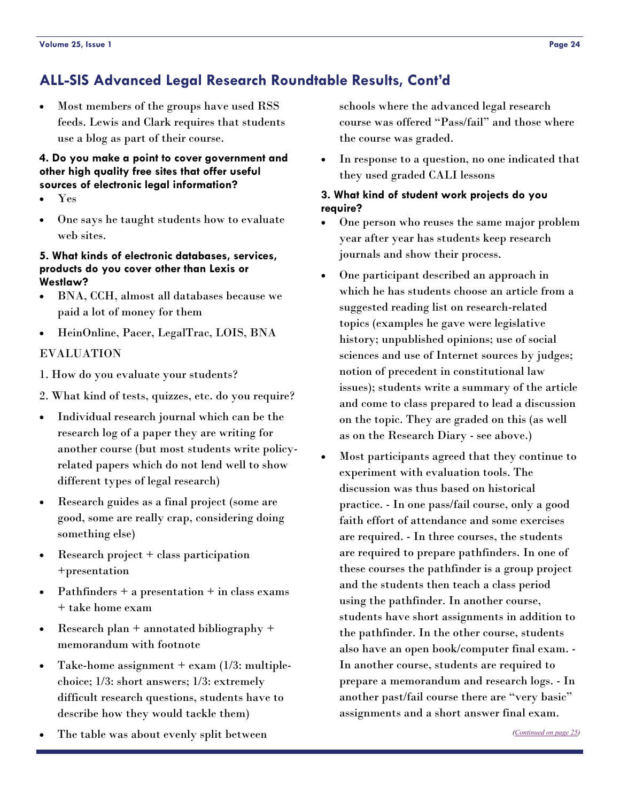<span id="page-23-0"></span>• Most members of the groups have used RSS feeds. Lewis and Clark requires that students use a blog as part of their course.

#### **4. Do you make a point to cover government and other high quality free sites that offer useful sources of electronic legal information?**

- Yes
- One says he taught students how to evaluate web sites.

#### **5. What kinds of electronic databases, services, products do you cover other than Lexis or Westlaw?**

- BNA, CCH, almost all databases because we paid a lot of money for them
- HeinOnline, Pacer, LegalTrac, LOIS, BNA

#### EVALUATION

- 1. How do you evaluate your students?
- 2. What kind of tests, quizzes, etc. do you require?
- Individual research journal which can be the research log of a paper they are writing for another course (but most students write policyrelated papers which do not lend well to show different types of legal research)
- Research guides as a final project (some are good, some are really crap, considering doing something else)
- Research project + class participation +presentation
- Pathfinders + a presentation + in class exams + take home exam
- Research plan + annotated bibliography + memorandum with footnote
- Take-home assignment  $+$  exam (1/3: multiplechoice; 1/3: short answers; 1/3: extremely difficult research questions, students have to describe how they would tackle them)
- The table was about evenly split between

schools where the advanced legal research course was offered "Pass/fail" and those where the course was graded.

In response to a question, no one indicated that they used graded CALI lessons

#### **3. What kind of student work projects do you require?**

- One person who reuses the same major problem year after year has students keep research journals and show their process.
- One participant described an approach in which he has students choose an article from a suggested reading list on research-related topics (examples he gave were legislative history; unpublished opinions; use of social sciences and use of Internet sources by judges; notion of precedent in constitutional law issues); students write a summary of the article and come to class prepared to lead a discussion on the topic. They are graded on this (as well as on the Research Diary - see above.)
- Most participants agreed that they continue to experiment with evaluation tools. The discussion was thus based on historical practice. - In one pass/fail course, only a good faith effort of attendance and some exercises are required. - In three courses, the students are required to prepare pathfinders. In one of these courses the pathfinder is a group project and the students then teach a class period using the pathfinder. In another course, students have short assignments in addition to the pathfinder. In the other course, students also have an open book/computer final exam. - In another course, students are required to prepare a memorandum and research logs. - In another past/fail course there are "very basic" assignments and a short answer final exam.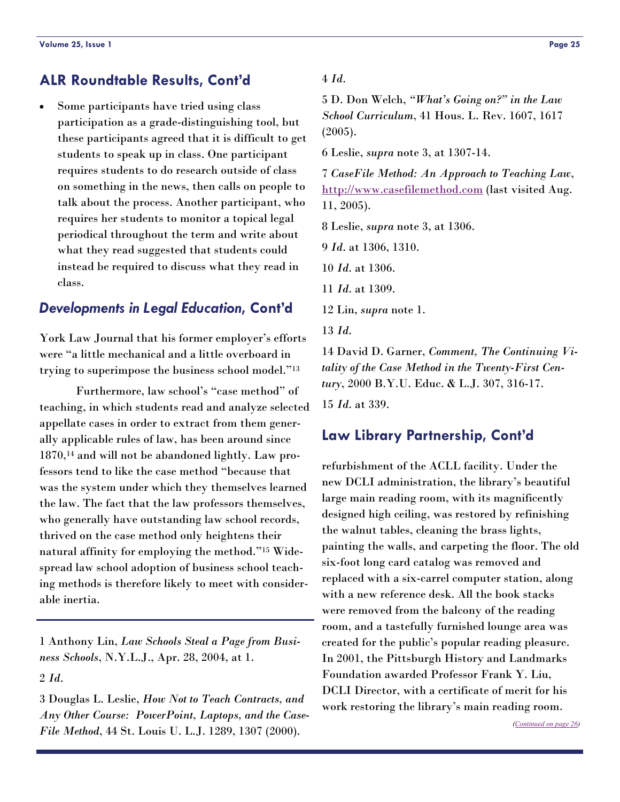## <span id="page-24-0"></span>**ALR Roundtable Results, Cont'd**

Some participants have tried using class participation as a grade-distinguishing tool, but these participants agreed that it is difficult to get students to speak up in class. One participant requires students to do research outside of class on something in the news, then calls on people to talk about the process. Another participant, who requires her students to monitor a topical legal periodical throughout the term and write about what they read suggested that students could instead be required to discuss what they read in class.

#### *Developments in Legal Education***, Cont'd**

York Law Journal that his former employer's efforts were "a little mechanical and a little overboard in trying to superimpose the business school model."13

 Furthermore, law school's "case method" of teaching, in which students read and analyze selected appellate cases in order to extract from them generally applicable rules of law, has been around since 1870,14 and will not be abandoned lightly. Law professors tend to like the case method "because that was the system under which they themselves learned the law. The fact that the law professors themselves, who generally have outstanding law school records, thrived on the case method only heightens their natural affinity for employing the method."15 Widespread law school adoption of business school teaching methods is therefore likely to meet with considerable inertia.

1 Anthony Lin, *Law Schools Steal a Page from Business Schools*, N.Y.L.J., Apr. 28, 2004, at 1.

2 *Id*.

3 Douglas L. Leslie, *How Not to Teach Contracts, and Any Other Course: PowerPoint, Laptops, and the Case-File Method*, 44 St. Louis U. L.J. 1289, 1307 (2000).

#### 4 *Id*.

5 D. Don Welch, *"What's Going on?" in the Law School Curriculum*, 41 Hous. L. Rev. 1607, 1617 (2005).

6 Leslie, *supra* note 3, at 1307-14.

7 *CaseFile Method: An Approach to Teaching Law*, <http://www.casefilemethod.com> (last visited Aug. 11, 2005).

8 Leslie, *supra* note 3, at 1306.

9 *Id*. at 1306, 1310.

10 *Id*. at 1306.

11 *Id*. at 1309.

12 Lin, *supra* note 1.

13 *Id*.

14 David D. Garner, *Comment, The Continuing Vitality of the Case Method in the Twenty-First Century*, 2000 B.Y.U. Educ. & L.J. 307, 316-17.

15 *Id*. at 339.

#### **Law Library Partnership, Cont'd**

refurbishment of the ACLL facility. Under the new DCLI administration, the library's beautiful large main reading room, with its magnificently designed high ceiling, was restored by refinishing the walnut tables, cleaning the brass lights, painting the walls, and carpeting the floor. The old six-foot long card catalog was removed and replaced with a six-carrel computer station, along with a new reference desk. All the book stacks were removed from the balcony of the reading room, and a tastefully furnished lounge area was created for the public's popular reading pleasure. In 2001, the Pittsburgh History and Landmarks Foundation awarded Professor Frank Y. Liu, DCLI Director, with a certificate of merit for his work restoring the library's main reading room.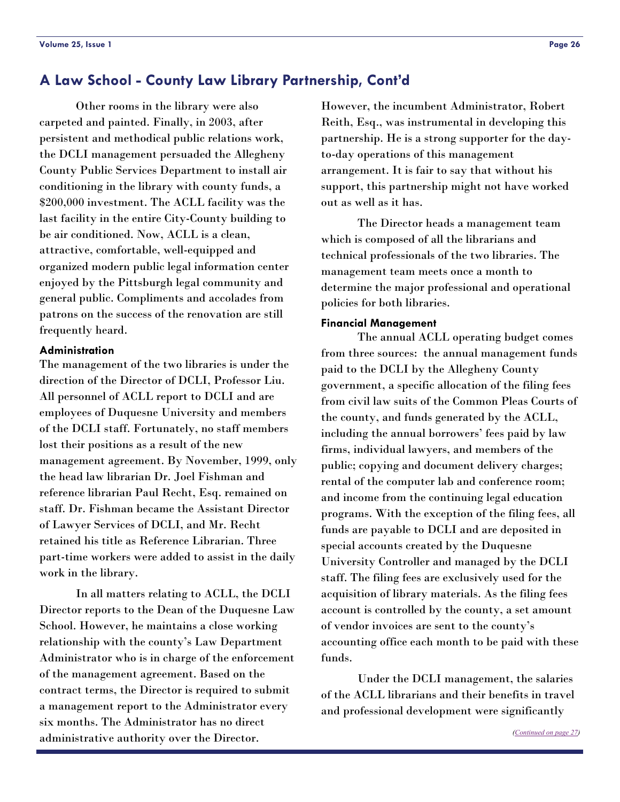<span id="page-25-0"></span> Other rooms in the library were also carpeted and painted. Finally, in 2003, after persistent and methodical public relations work, the DCLI management persuaded the Allegheny County Public Services Department to install air conditioning in the library with county funds, a \$200,000 investment. The ACLL facility was the last facility in the entire City-County building to be air conditioned. Now, ACLL is a clean, attractive, comfortable, well-equipped and organized modern public legal information center enjoyed by the Pittsburgh legal community and general public. Compliments and accolades from patrons on the success of the renovation are still frequently heard.

#### **Administration**

The management of the two libraries is under the direction of the Director of DCLI, Professor Liu. All personnel of ACLL report to DCLI and are employees of Duquesne University and members of the DCLI staff. Fortunately, no staff members lost their positions as a result of the new management agreement. By November, 1999, only the head law librarian Dr. Joel Fishman and reference librarian Paul Recht, Esq. remained on staff. Dr. Fishman became the Assistant Director of Lawyer Services of DCLI, and Mr. Recht retained his title as Reference Librarian. Three part-time workers were added to assist in the daily work in the library.

 In all matters relating to ACLL, the DCLI Director reports to the Dean of the Duquesne Law School. However, he maintains a close working relationship with the county's Law Department Administrator who is in charge of the enforcement of the management agreement. Based on the contract terms, the Director is required to submit a management report to the Administrator every six months. The Administrator has no direct administrative authority over the Director.

However, the incumbent Administrator, Robert Reith, Esq., was instrumental in developing this partnership. He is a strong supporter for the dayto-day operations of this management arrangement. It is fair to say that without his support, this partnership might not have worked out as well as it has.

 The Director heads a management team which is composed of all the librarians and technical professionals of the two libraries. The management team meets once a month to determine the major professional and operational policies for both libraries.

#### **Financial Management**

 The annual ACLL operating budget comes from three sources: the annual management funds paid to the DCLI by the Allegheny County government, a specific allocation of the filing fees from civil law suits of the Common Pleas Courts of the county, and funds generated by the ACLL, including the annual borrowers' fees paid by law firms, individual lawyers, and members of the public; copying and document delivery charges; rental of the computer lab and conference room; and income from the continuing legal education programs. With the exception of the filing fees, all funds are payable to DCLI and are deposited in special accounts created by the Duquesne University Controller and managed by the DCLI staff. The filing fees are exclusively used for the acquisition of library materials. As the filing fees account is controlled by the county, a set amount of vendor invoices are sent to the county's accounting office each month to be paid with these funds.

 Under the DCLI management, the salaries of the ACLL librarians and their benefits in travel and professional development were significantly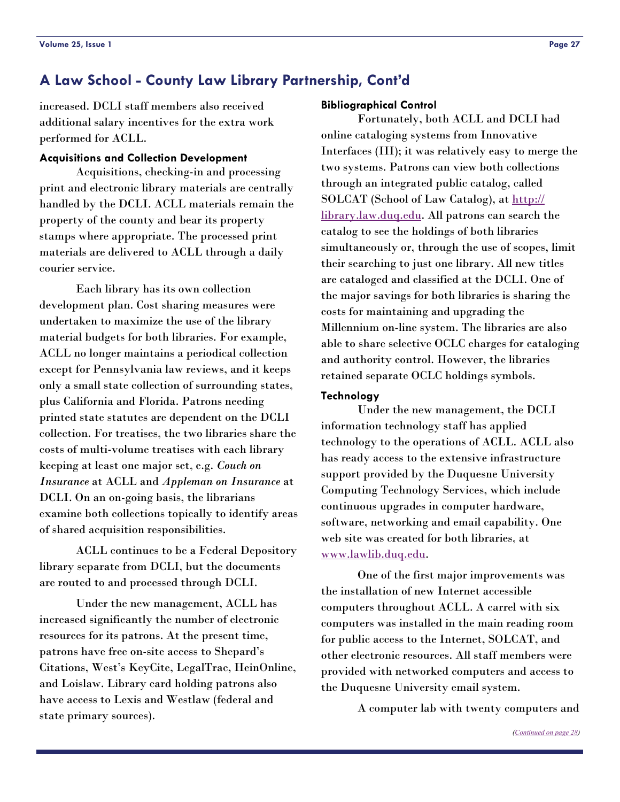<span id="page-26-0"></span>increased. DCLI staff members also received additional salary incentives for the extra work performed for ACLL.

#### **Acquisitions and Collection Development**

 Acquisitions, checking-in and processing print and electronic library materials are centrally handled by the DCLI. ACLL materials remain the property of the county and bear its property stamps where appropriate. The processed print materials are delivered to ACLL through a daily courier service.

 Each library has its own collection development plan. Cost sharing measures were undertaken to maximize the use of the library material budgets for both libraries. For example, ACLL no longer maintains a periodical collection except for Pennsylvania law reviews, and it keeps only a small state collection of surrounding states, plus California and Florida. Patrons needing printed state statutes are dependent on the DCLI collection. For treatises, the two libraries share the costs of multi-volume treatises with each library keeping at least one major set, e.g. *Couch on Insurance* at ACLL and *Appleman on Insurance* at DCLI. On an on-going basis, the librarians examine both collections topically to identify areas of shared acquisition responsibilities.

 ACLL continues to be a Federal Depository library separate from DCLI, but the documents are routed to and processed through DCLI.

 Under the new management, ACLL has increased significantly the number of electronic resources for its patrons. At the present time, patrons have free on-site access to Shepard's Citations, West's KeyCite, LegalTrac, HeinOnline, and Loislaw. Library card holding patrons also have access to Lexis and Westlaw (federal and state primary sources).

#### **Bibliographical Control**

 Fortunately, both ACLL and DCLI had online cataloging systems from Innovative Interfaces (III); it was relatively easy to merge the two systems. Patrons can view both collections through an integrated public catalog, called SOLCAT (School of Law Catalog), at [http://](http://library.law.duq.edu) [library.law.duq.edu](http://library.law.duq.edu). All patrons can search the catalog to see the holdings of both libraries simultaneously or, through the use of scopes, limit their searching to just one library. All new titles are cataloged and classified at the DCLI. One of the major savings for both libraries is sharing the costs for maintaining and upgrading the Millennium on-line system. The libraries are also able to share selective OCLC charges for cataloging and authority control. However, the libraries retained separate OCLC holdings symbols.

#### **Technology**

 Under the new management, the DCLI information technology staff has applied technology to the operations of ACLL. ACLL also has ready access to the extensive infrastructure support provided by the Duquesne University Computing Technology Services, which include continuous upgrades in computer hardware, software, networking and email capability. One web site was created for both libraries, at [www.lawlib.duq.edu](http://www.lawlib.duq.edu).

 One of the first major improvements was the installation of new Internet accessible computers throughout ACLL. A carrel with six computers was installed in the main reading room for public access to the Internet, SOLCAT, and other electronic resources. All staff members were provided with networked computers and access to the Duquesne University email system.

A computer lab with twenty computers and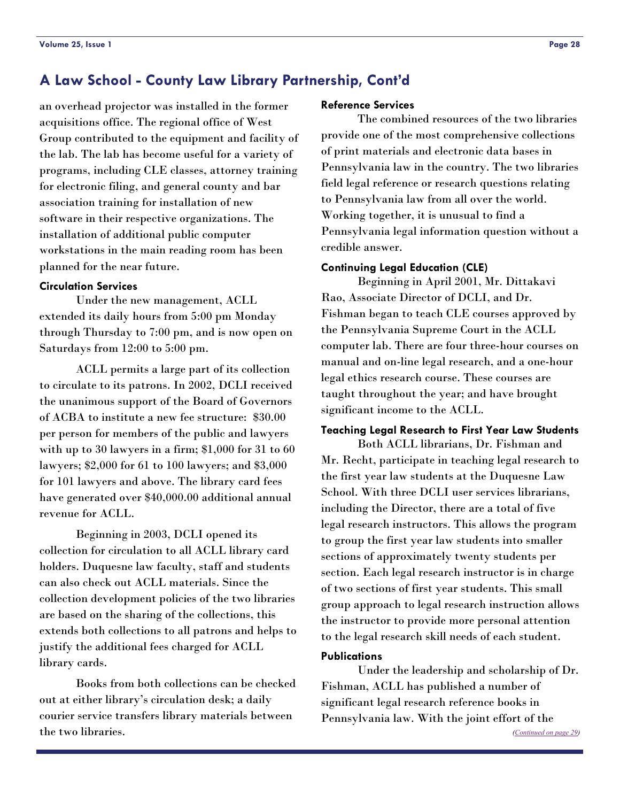<span id="page-27-0"></span>an overhead projector was installed in the former acquisitions office. The regional office of West Group contributed to the equipment and facility of the lab. The lab has become useful for a variety of programs, including CLE classes, attorney training for electronic filing, and general county and bar association training for installation of new software in their respective organizations. The installation of additional public computer workstations in the main reading room has been planned for the near future.

#### **Circulation Services**

 Under the new management, ACLL extended its daily hours from 5:00 pm Monday through Thursday to 7:00 pm, and is now open on Saturdays from 12:00 to 5:00 pm.

 ACLL permits a large part of its collection to circulate to its patrons. In 2002, DCLI received the unanimous support of the Board of Governors of ACBA to institute a new fee structure: \$30.00 per person for members of the public and lawyers with up to 30 lawyers in a firm; \$1,000 for 31 to 60 lawyers; \$2,000 for 61 to 100 lawyers; and \$3,000 for 101 lawyers and above. The library card fees have generated over \$40,000.00 additional annual revenue for ACLL.

 Beginning in 2003, DCLI opened its collection for circulation to all ACLL library card holders. Duquesne law faculty, staff and students can also check out ACLL materials. Since the collection development policies of the two libraries are based on the sharing of the collections, this extends both collections to all patrons and helps to justify the additional fees charged for ACLL library cards.

 Books from both collections can be checked out at either library's circulation desk; a daily courier service transfers library materials between the two libraries.

#### **Reference Services**

 The combined resources of the two libraries provide one of the most comprehensive collections of print materials and electronic data bases in Pennsylvania law in the country. The two libraries field legal reference or research questions relating to Pennsylvania law from all over the world. Working together, it is unusual to find a Pennsylvania legal information question without a credible answer.

#### **Continuing Legal Education (CLE)**

 Beginning in April 2001, Mr. Dittakavi Rao, Associate Director of DCLI, and Dr. Fishman began to teach CLE courses approved by the Pennsylvania Supreme Court in the ACLL computer lab. There are four three-hour courses on manual and on-line legal research, and a one-hour legal ethics research course. These courses are taught throughout the year; and have brought significant income to the ACLL.

#### **Teaching Legal Research to First Year Law Students**

 Both ACLL librarians, Dr. Fishman and Mr. Recht, participate in teaching legal research to the first year law students at the Duquesne Law School. With three DCLI user services librarians, including the Director, there are a total of five legal research instructors. This allows the program to group the first year law students into smaller sections of approximately twenty students per section. Each legal research instructor is in charge of two sections of first year students. This small group approach to legal research instruction allows the instructor to provide more personal attention to the legal research skill needs of each student.

#### **Publications**

 Under the leadership and scholarship of Dr. Fishman, ACLL has published a number of significant legal research reference books in Pennsylvania law. With the joint effort of the

*[\(Continued on page 29\)](#page-28-0)*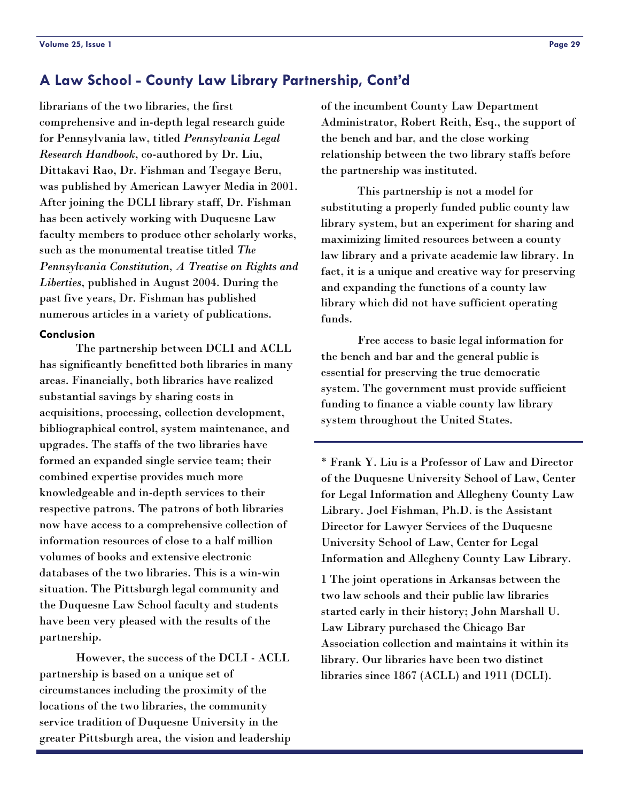<span id="page-28-0"></span>librarians of the two libraries, the first comprehensive and in-depth legal research guide for Pennsylvania law, titled *Pennsylvania Legal Research Handbook*, co-authored by Dr. Liu, Dittakavi Rao, Dr. Fishman and Tsegaye Beru, was published by American Lawyer Media in 2001. After joining the DCLI library staff, Dr. Fishman has been actively working with Duquesne Law faculty members to produce other scholarly works, such as the monumental treatise titled *The Pennsylvania Constitution, A Treatise on Rights and Liberties*, published in August 2004. During the past five years, Dr. Fishman has published numerous articles in a variety of publications.

#### **Conclusion**

 The partnership between DCLI and ACLL has significantly benefitted both libraries in many areas. Financially, both libraries have realized substantial savings by sharing costs in acquisitions, processing, collection development, bibliographical control, system maintenance, and upgrades. The staffs of the two libraries have formed an expanded single service team; their combined expertise provides much more knowledgeable and in-depth services to their respective patrons. The patrons of both libraries now have access to a comprehensive collection of information resources of close to a half million volumes of books and extensive electronic databases of the two libraries. This is a win-win situation. The Pittsburgh legal community and the Duquesne Law School faculty and students have been very pleased with the results of the partnership.

 However, the success of the DCLI - ACLL partnership is based on a unique set of circumstances including the proximity of the locations of the two libraries, the community service tradition of Duquesne University in the greater Pittsburgh area, the vision and leadership of the incumbent County Law Department Administrator, Robert Reith, Esq., the support of the bench and bar, and the close working relationship between the two library staffs before the partnership was instituted.

 This partnership is not a model for substituting a properly funded public county law library system, but an experiment for sharing and maximizing limited resources between a county law library and a private academic law library. In fact, it is a unique and creative way for preserving and expanding the functions of a county law library which did not have sufficient operating funds.

 Free access to basic legal information for the bench and bar and the general public is essential for preserving the true democratic system. The government must provide sufficient funding to finance a viable county law library system throughout the United States.

\* Frank Y. Liu is a Professor of Law and Director of the Duquesne University School of Law, Center for Legal Information and Allegheny County Law Library. Joel Fishman, Ph.D. is the Assistant Director for Lawyer Services of the Duquesne University School of Law, Center for Legal Information and Allegheny County Law Library.

1 The joint operations in Arkansas between the two law schools and their public law libraries started early in their history; John Marshall U. Law Library purchased the Chicago Bar Association collection and maintains it within its library. Our libraries have been two distinct libraries since 1867 (ACLL) and 1911 (DCLI).